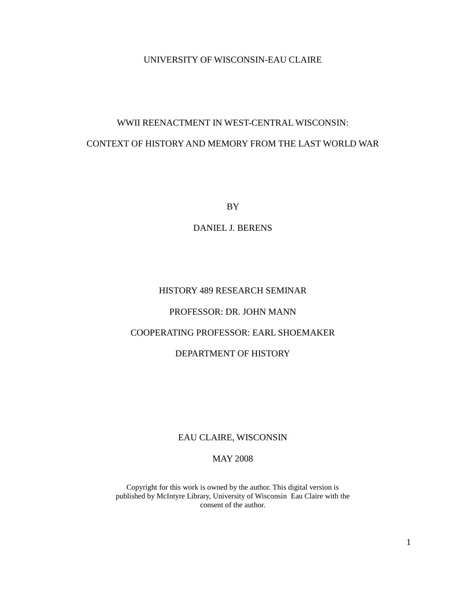#### UNIVERSITY OF WISCONSIN-EAU CLAIRE

# WWII REENACTMENT IN WEST-CENTRAL WISCONSIN: CONTEXT OF HISTORY AND MEMORY FROM THE LAST WORLD WAR

BY

DANIEL J. BERENS

### HISTORY 489 RESEARCH SEMINAR

#### PROFESSOR: DR. JOHN MANN

#### COOPERATING PROFESSOR: EARL SHOEMAKER

#### DEPARTMENT OF HISTORY

#### EAU CLAIRE, WISCONSIN

#### MAY 2008

Copyright for this work is owned by the author. This digital version is published by McIntyre Library, University of Wisconsin Eau Claire with the consent of the author.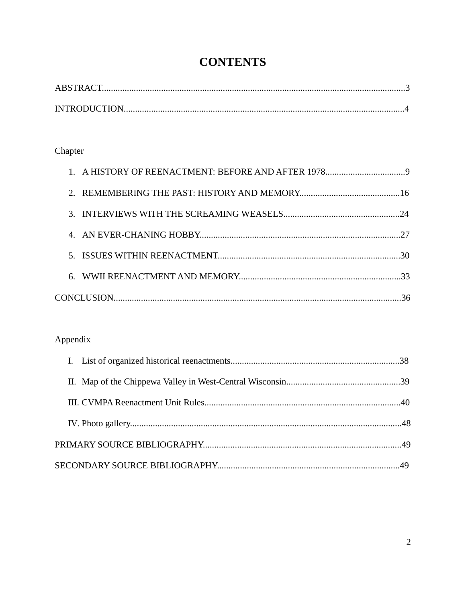# **CONTENTS**

## Chapter

## Appendix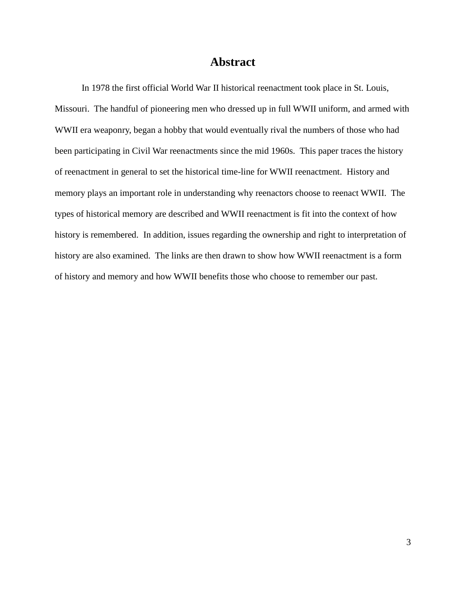### **Abstract**

In 1978 the first official World War II historical reenactment took place in St. Louis, Missouri. The handful of pioneering men who dressed up in full WWII uniform, and armed with WWII era weaponry, began a hobby that would eventually rival the numbers of those who had been participating in Civil War reenactments since the mid 1960s. This paper traces the history of reenactment in general to set the historical time-line for WWII reenactment. History and memory plays an important role in understanding why reenactors choose to reenact WWII. The types of historical memory are described and WWII reenactment is fit into the context of how history is remembered. In addition, issues regarding the ownership and right to interpretation of history are also examined. The links are then drawn to show how WWII reenactment is a form of history and memory and how WWII benefits those who choose to remember our past.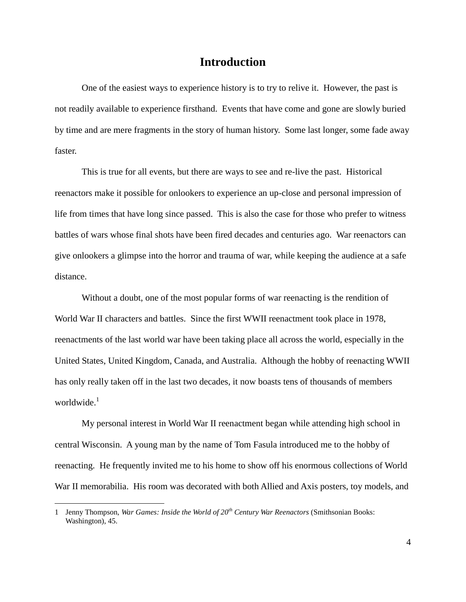### **Introduction**

One of the easiest ways to experience history is to try to relive it. However, the past is not readily available to experience firsthand. Events that have come and gone are slowly buried by time and are mere fragments in the story of human history. Some last longer, some fade away faster.

This is true for all events, but there are ways to see and re-live the past. Historical reenactors make it possible for onlookers to experience an up-close and personal impression of life from times that have long since passed. This is also the case for those who prefer to witness battles of wars whose final shots have been fired decades and centuries ago. War reenactors can give onlookers a glimpse into the horror and trauma of war, while keeping the audience at a safe distance.

Without a doubt, one of the most popular forms of war reenacting is the rendition of World War II characters and battles. Since the first WWII reenactment took place in 1978, reenactments of the last world war have been taking place all across the world, especially in the United States, United Kingdom, Canada, and Australia. Although the hobby of reenacting WWII has only really taken off in the last two decades, it now boasts tens of thousands of members worldwide. $1$ 

My personal interest in World War II reenactment began while attending high school in central Wisconsin. A young man by the name of Tom Fasula introduced me to the hobby of reenacting. He frequently invited me to his home to show off his enormous collections of World War II memorabilia. His room was decorated with both Allied and Axis posters, toy models, and

<sup>1</sup> Jenny Thompson, *War Games: Inside the World of 20th Century War Reenactors* (Smithsonian Books: Washington), 45.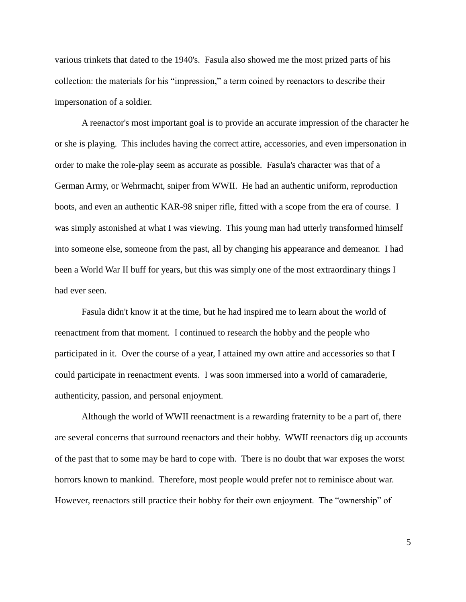various trinkets that dated to the 1940's. Fasula also showed me the most prized parts of his collection: the materials for his "impression," a term coined by reenactors to describe their impersonation of a soldier.

A reenactor's most important goal is to provide an accurate impression of the character he or she is playing. This includes having the correct attire, accessories, and even impersonation in order to make the role-play seem as accurate as possible. Fasula's character was that of a German Army, or Wehrmacht, sniper from WWII. He had an authentic uniform, reproduction boots, and even an authentic KAR-98 sniper rifle, fitted with a scope from the era of course. I was simply astonished at what I was viewing. This young man had utterly transformed himself into someone else, someone from the past, all by changing his appearance and demeanor. I had been a World War II buff for years, but this was simply one of the most extraordinary things I had ever seen.

Fasula didn't know it at the time, but he had inspired me to learn about the world of reenactment from that moment. I continued to research the hobby and the people who participated in it. Over the course of a year, I attained my own attire and accessories so that I could participate in reenactment events. I was soon immersed into a world of camaraderie, authenticity, passion, and personal enjoyment.

Although the world of WWII reenactment is a rewarding fraternity to be a part of, there are several concerns that surround reenactors and their hobby. WWII reenactors dig up accounts of the past that to some may be hard to cope with. There is no doubt that war exposes the worst horrors known to mankind. Therefore, most people would prefer not to reminisce about war. However, reenactors still practice their hobby for their own enjoyment. The "ownership" of

5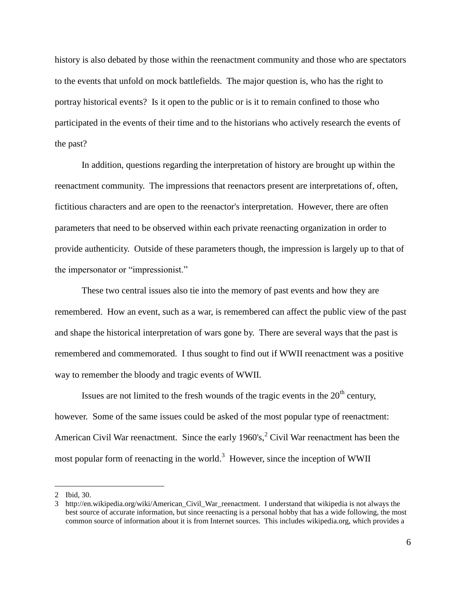history is also debated by those within the reenactment community and those who are spectators to the events that unfold on mock battlefields. The major question is, who has the right to portray historical events? Is it open to the public or is it to remain confined to those who participated in the events of their time and to the historians who actively research the events of the past?

In addition, questions regarding the interpretation of history are brought up within the reenactment community. The impressions that reenactors present are interpretations of, often, fictitious characters and are open to the reenactor's interpretation. However, there are often parameters that need to be observed within each private reenacting organization in order to provide authenticity. Outside of these parameters though, the impression is largely up to that of the impersonator or "impressionist."

These two central issues also tie into the memory of past events and how they are remembered. How an event, such as a war, is remembered can affect the public view of the past and shape the historical interpretation of wars gone by. There are several ways that the past is remembered and commemorated. I thus sought to find out if WWII reenactment was a positive way to remember the bloody and tragic events of WWII.

Issues are not limited to the fresh wounds of the tragic events in the  $20<sup>th</sup>$  century, however. Some of the same issues could be asked of the most popular type of reenactment: American Civil War reenactment. Since the early  $1960's$ ,  $2^2$  Civil War reenactment has been the most popular form of reenacting in the world.<sup>3</sup> However, since the inception of WWII

<sup>2</sup> Ibid, 30.

<sup>3</sup> [http://en.wikipedia.org/wiki/American\\_Civil\\_War\\_reenactment.](http://en.wikipedia.org/wiki/American_Civil_War_reenactment) I understand that wikipedia is not always the best source of accurate information, but since reenacting is a personal hobby that has a wide following, the most common source of information about it is from Internet sources. This includes wikipedia.org, which provides a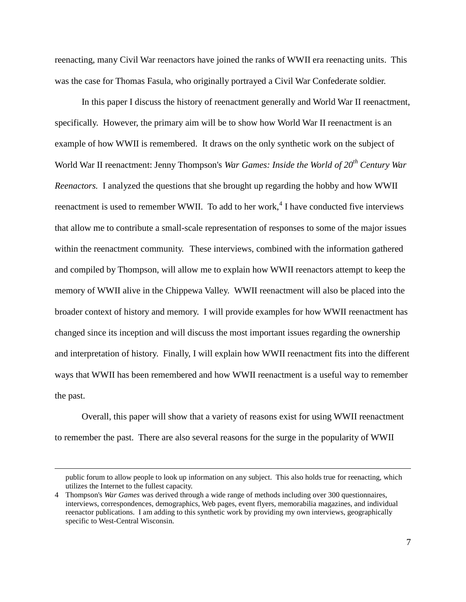reenacting, many Civil War reenactors have joined the ranks of WWII era reenacting units. This was the case for Thomas Fasula, who originally portrayed a Civil War Confederate soldier.

In this paper I discuss the history of reenactment generally and World War II reenactment, specifically. However, the primary aim will be to show how World War II reenactment is an example of how WWII is remembered. It draws on the only synthetic work on the subject of World War II reenactment: Jenny Thompson's *War Games: Inside the World of 20th Century War Reenactors.* I analyzed the questions that she brought up regarding the hobby and how WWII reenactment is used to remember WWII. To add to her work,<sup>4</sup> I have conducted five interviews that allow me to contribute a small-scale representation of responses to some of the major issues within the reenactment community. These interviews, combined with the information gathered and compiled by Thompson, will allow me to explain how WWII reenactors attempt to keep the memory of WWII alive in the Chippewa Valley. WWII reenactment will also be placed into the broader context of history and memory. I will provide examples for how WWII reenactment has changed since its inception and will discuss the most important issues regarding the ownership and interpretation of history. Finally, I will explain how WWII reenactment fits into the different ways that WWII has been remembered and how WWII reenactment is a useful way to remember the past.

Overall, this paper will show that a variety of reasons exist for using WWII reenactment to remember the past. There are also several reasons for the surge in the popularity of WWII

public forum to allow people to look up information on any subject. This also holds true for reenacting, which utilizes the Internet to the fullest capacity.

<sup>4</sup> Thompson's *War Games* was derived through a wide range of methods including over 300 questionnaires, interviews, correspondences, demographics, Web pages, event flyers, memorabilia magazines, and individual reenactor publications. I am adding to this synthetic work by providing my own interviews, geographically specific to West-Central Wisconsin.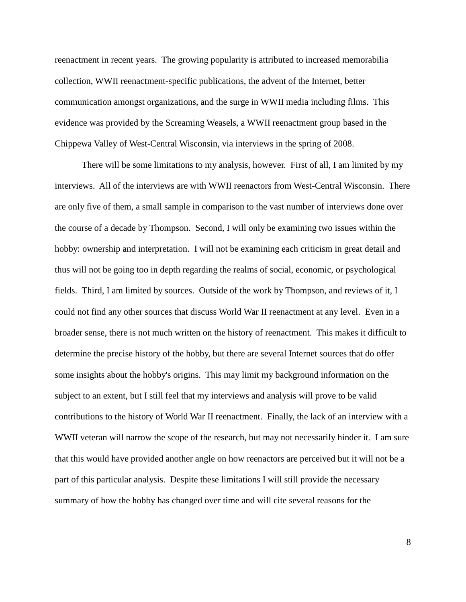reenactment in recent years. The growing popularity is attributed to increased memorabilia collection, WWII reenactment-specific publications, the advent of the Internet, better communication amongst organizations, and the surge in WWII media including films. This evidence was provided by the Screaming Weasels, a WWII reenactment group based in the Chippewa Valley of West-Central Wisconsin, via interviews in the spring of 2008.

There will be some limitations to my analysis, however. First of all, I am limited by my interviews. All of the interviews are with WWII reenactors from West-Central Wisconsin. There are only five of them, a small sample in comparison to the vast number of interviews done over the course of a decade by Thompson. Second, I will only be examining two issues within the hobby: ownership and interpretation. I will not be examining each criticism in great detail and thus will not be going too in depth regarding the realms of social, economic, or psychological fields. Third, I am limited by sources. Outside of the work by Thompson, and reviews of it, I could not find any other sources that discuss World War II reenactment at any level. Even in a broader sense, there is not much written on the history of reenactment. This makes it difficult to determine the precise history of the hobby, but there are several Internet sources that do offer some insights about the hobby's origins. This may limit my background information on the subject to an extent, but I still feel that my interviews and analysis will prove to be valid contributions to the history of World War II reenactment. Finally, the lack of an interview with a WWII veteran will narrow the scope of the research, but may not necessarily hinder it. I am sure that this would have provided another angle on how reenactors are perceived but it will not be a part of this particular analysis. Despite these limitations I will still provide the necessary summary of how the hobby has changed over time and will cite several reasons for the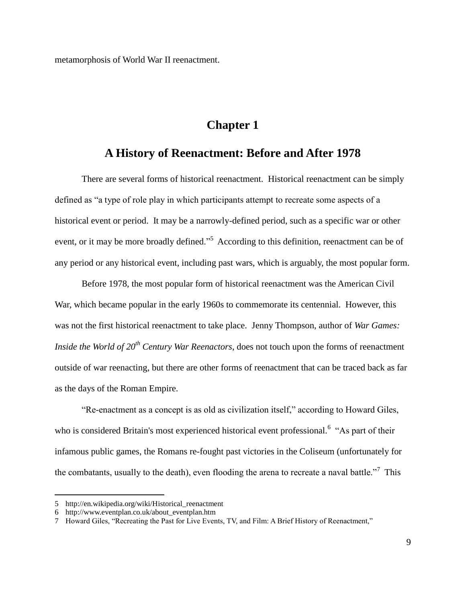metamorphosis of World War II reenactment.

## **Chapter 1**

## **A History of Reenactment: Before and After 1978**

There are several forms of historical reenactment. Historical reenactment can be simply defined as "a type of role play in which participants attempt to recreate some aspects of a historical event or period. It may be a narrowly-defined period, such as a specific war or other event, or it may be more broadly defined."<sup>5</sup> According to this definition, reenactment can be of any period or any historical event, including past wars, which is arguably, the most popular form.

Before 1978, the most popular form of historical reenactment was the American Civil War, which became popular in the early 1960s to commemorate its centennial. However, this was not the first historical reenactment to take place. Jenny Thompson, author of *War Games: Inside the World of 20th Century War Reenactors*, does not touch upon the forms of reenactment outside of war reenacting, but there are other forms of reenactment that can be traced back as far as the days of the Roman Empire.

"Re-enactment as a concept is as old as civilization itself," according to Howard Giles, who is considered Britain's most experienced historical event professional.<sup>6</sup> "As part of their infamous public games, the Romans re-fought past victories in the Coliseum (unfortunately for the combatants, usually to the death), even flooding the arena to recreate a naval battle.<sup>"7</sup> This

<sup>5</sup> http://en.wikipedia.org/wiki/Historical\_reenactment

<sup>6</sup> http://www.eventplan.co.uk/about\_eventplan.htm

<sup>7</sup> Howard Giles, "Recreating the Past for Live Events, TV, and Film: A Brief History of Reenactment,"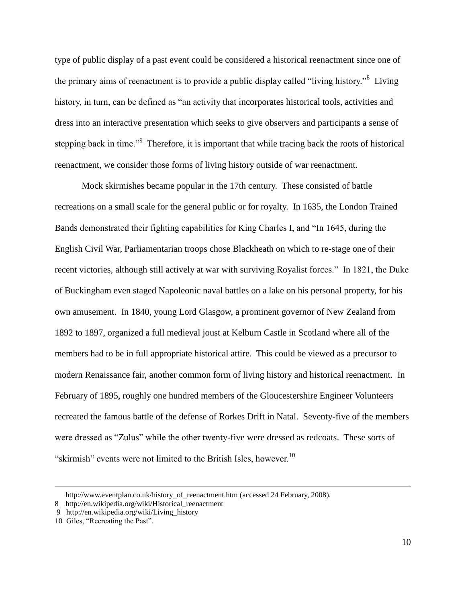type of public display of a past event could be considered a historical reenactment since one of the primary aims of reenactment is to provide a public display called "living history."<sup>8</sup> Living history, in turn, can be defined as "an activity that incorporates historical tools, activities and dress into an interactive presentation which seeks to give observers and participants a sense of stepping back in time."<sup>9</sup> Therefore, it is important that while tracing back the roots of historical reenactment, we consider those forms of living history outside of war reenactment.

Mock skirmishes became popular in the 17th century. These consisted of battle recreations on a small scale for the general public or for royalty. In 1635, the London Trained Bands demonstrated their fighting capabilities for King Charles I, and "In 1645, during the English Civil War, Parliamentarian troops chose Blackheath on which to re-stage one of their recent victories, although still actively at war with surviving Royalist forces." In 1821, the Duke of Buckingham even staged Napoleonic naval battles on a lake on his personal property, for his own amusement. In 1840, young Lord Glasgow, a prominent governor of New Zealand from 1892 to 1897, organized a full medieval joust at Kelburn Castle in Scotland where all of the members had to be in full appropriate historical attire. This could be viewed as a precursor to modern Renaissance fair, another common form of living history and historical reenactment. In February of 1895, roughly one hundred members of the Gloucestershire Engineer Volunteers recreated the famous battle of the defense of Rorkes Drift in Natal. Seventy-five of the members were dressed as "Zulus" while the other twenty-five were dressed as redcoats. These sorts of "skirmish" events were not limited to the British Isles, however.<sup>10</sup>

[http://www.eventplan.co.uk/history\\_of\\_reenactment.htm](http://www.eventplan.co.uk/history_of_reenactment.htm) (accessed 24 February, 2008).

<sup>8</sup> http://en.wikipedia.org/wiki/Historical\_reenactment

<sup>9</sup> http://en.wikipedia.org/wiki/Living\_history

<sup>10</sup> Giles, "Recreating the Past".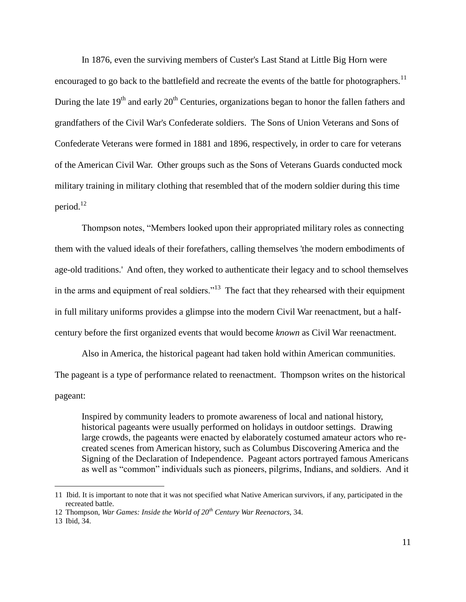In 1876, even the surviving members of Custer's Last Stand at Little Big Horn were encouraged to go back to the battlefield and recreate the events of the battle for photographers.<sup>11</sup> During the late  $19<sup>th</sup>$  and early  $20<sup>th</sup>$  Centuries, organizations began to honor the fallen fathers and grandfathers of the Civil War's Confederate soldiers. The Sons of Union Veterans and Sons of Confederate Veterans were formed in 1881 and 1896, respectively, in order to care for veterans of the American Civil War. Other groups such as the Sons of Veterans Guards conducted mock military training in military clothing that resembled that of the modern soldier during this time period. $12$ 

Thompson notes, "Members looked upon their appropriated military roles as connecting them with the valued ideals of their forefathers, calling themselves 'the modern embodiments of age-old traditions.' And often, they worked to authenticate their legacy and to school themselves in the arms and equipment of real soldiers."<sup>13</sup> The fact that they rehearsed with their equipment in full military uniforms provides a glimpse into the modern Civil War reenactment, but a halfcentury before the first organized events that would become *known* as Civil War reenactment.

Also in America, the historical pageant had taken hold within American communities. The pageant is a type of performance related to reenactment. Thompson writes on the historical pageant:

Inspired by community leaders to promote awareness of local and national history, historical pageants were usually performed on holidays in outdoor settings. Drawing large crowds, the pageants were enacted by elaborately costumed amateur actors who recreated scenes from American history, such as Columbus Discovering America and the Signing of the Declaration of Independence. Pageant actors portrayed famous Americans as well as "common" individuals such as pioneers, pilgrims, Indians, and soldiers. And it

<sup>11</sup> Ibid. It is important to note that it was not specified what Native American survivors, if any, participated in the recreated battle.

<sup>12</sup> Thompson, *War Games: Inside the World of 20th Century War Reenactors,* 34.

<sup>13</sup> Ibid, 34.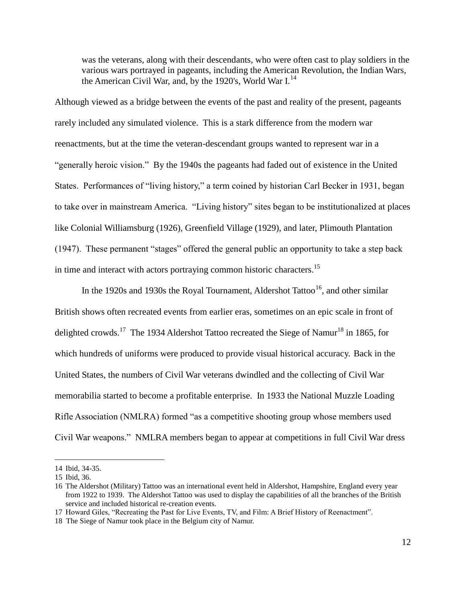was the veterans, along with their descendants, who were often cast to play soldiers in the various wars portrayed in pageants, including the American Revolution, the Indian Wars, the American Civil War, and, by the 1920's, World War  $I<sup>14</sup>$ .

Although viewed as a bridge between the events of the past and reality of the present, pageants rarely included any simulated violence. This is a stark difference from the modern war reenactments, but at the time the veteran-descendant groups wanted to represent war in a "generally heroic vision." By the 1940s the pageants had faded out of existence in the United States. Performances of "living history," a term coined by historian Carl Becker in 1931, began to take over in mainstream America. "Living history" sites began to be institutionalized at places like Colonial Williamsburg (1926), Greenfield Village (1929), and later, Plimouth Plantation (1947). These permanent "stages" offered the general public an opportunity to take a step back in time and interact with actors portraying common historic characters.<sup>15</sup>

In the 1920s and 1930s the Royal Tournament, Aldershot Tattoo<sup>16</sup>, and other similar British shows often recreated events from earlier eras, sometimes on an epic scale in front of delighted crowds.<sup>17</sup> The 1934 Aldershot Tattoo recreated the Siege of Namur<sup>18</sup> in 1865, for which hundreds of uniforms were produced to provide visual historical accuracy. Back in the United States, the numbers of Civil War veterans dwindled and the collecting of Civil War memorabilia started to become a profitable enterprise. In 1933 the National Muzzle Loading Rifle Association (NMLRA) formed "as a competitive shooting group whose members used Civil War weapons." NMLRA members began to appear at competitions in full Civil War dress

<sup>14</sup> Ibid, 34-35.

<sup>15</sup> Ibid, 36.

<sup>16</sup> The Aldershot (Military) Tattoo was an international event held in Aldershot, Hampshire, England every year from 1922 to 1939. The Aldershot Tattoo was used to display the capabilities of all the branches of the British service and included historical re-creation events.

<sup>17</sup> Howard Giles, "Recreating the Past for Live Events, TV, and Film: A Brief History of Reenactment".

<sup>18</sup> The Siege of Namur took place in the Belgium city of Namur.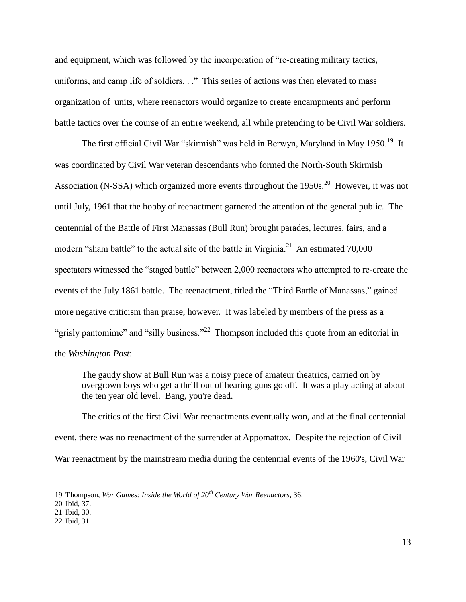and equipment, which was followed by the incorporation of "re-creating military tactics, uniforms, and camp life of soldiers. . ." This series of actions was then elevated to mass organization of units, where reenactors would organize to create encampments and perform battle tactics over the course of an entire weekend, all while pretending to be Civil War soldiers.

The first official Civil War "skirmish" was held in Berwyn, Maryland in May 1950.<sup>19</sup> It was coordinated by Civil War veteran descendants who formed the North-South Skirmish Association (N-SSA) which organized more events throughout the 1950s.<sup>20</sup> However, it was not until July, 1961 that the hobby of reenactment garnered the attention of the general public. The centennial of the Battle of First Manassas (Bull Run) brought parades, lectures, fairs, and a modern "sham battle" to the actual site of the battle in Virginia. $^{21}$  An estimated 70,000 spectators witnessed the "staged battle" between 2,000 reenactors who attempted to re-create the events of the July 1861 battle. The reenactment, titled the "Third Battle of Manassas," gained more negative criticism than praise, however. It was labeled by members of the press as a "grisly pantomime" and "silly business."<sup>22</sup> Thompson included this quote from an editorial in the *Washington Post*:

The gaudy show at Bull Run was a noisy piece of amateur theatrics, carried on by overgrown boys who get a thrill out of hearing guns go off. It was a play acting at about the ten year old level. Bang, you're dead.

The critics of the first Civil War reenactments eventually won, and at the final centennial event, there was no reenactment of the surrender at Appomattox. Despite the rejection of Civil War reenactment by the mainstream media during the centennial events of the 1960's, Civil War

<sup>19</sup> Thompson, *War Games: Inside the World of 20th Century War Reenactors,* 36.

<sup>20</sup> Ibid, 37.

<sup>21</sup> Ibid, 30.

<sup>22</sup> Ibid, 31.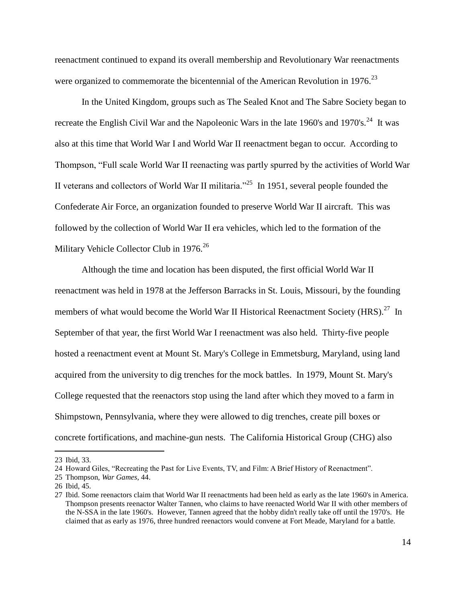reenactment continued to expand its overall membership and Revolutionary War reenactments were organized to commemorate the bicentennial of the American Revolution in 1976.<sup>23</sup>

In the United Kingdom, groups such as The Sealed Knot and The Sabre Society began to recreate the English Civil War and the Napoleonic Wars in the late 1960's and 1970's.<sup>24</sup> It was also at this time that World War I and World War II reenactment began to occur. According to Thompson, "Full scale World War II reenacting was partly spurred by the activities of World War II veterans and collectors of World War II militaria.<sup> $25$ </sup> In 1951, several people founded the Confederate Air Force, an organization founded to preserve World War II aircraft. This was followed by the collection of World War II era vehicles, which led to the formation of the Military Vehicle Collector Club in 1976.<sup>26</sup>

Although the time and location has been disputed, the first official World War II reenactment was held in 1978 at the Jefferson Barracks in St. Louis, Missouri, by the founding members of what would become the World War II Historical Reenactment Society (HRS).<sup>27</sup> In September of that year, the first World War I reenactment was also held. Thirty-five people hosted a reenactment event at Mount St. Mary's College in Emmetsburg, Maryland, using land acquired from the university to dig trenches for the mock battles. In 1979, Mount St. Mary's College requested that the reenactors stop using the land after which they moved to a farm in Shimpstown, Pennsylvania, where they were allowed to dig trenches, create pill boxes or concrete fortifications, and machine-gun nests. The California Historical Group (CHG) also

<sup>23</sup> Ibid, 33.

<sup>24</sup> Howard Giles, "Recreating the Past for Live Events, TV, and Film: A Brief History of Reenactment".

<sup>25</sup> Thompson, *War Games,* 44.

<sup>26</sup> Ibid, 45.

<sup>27</sup> Ibid. Some reenactors claim that World War II reenactments had been held as early as the late 1960's in America. Thompson presents reenactor Walter Tannen, who claims to have reenacted World War II with other members of the N-SSA in the late 1960's. However, Tannen agreed that the hobby didn't really take off until the 1970's. He claimed that as early as 1976, three hundred reenactors would convene at Fort Meade, Maryland for a battle.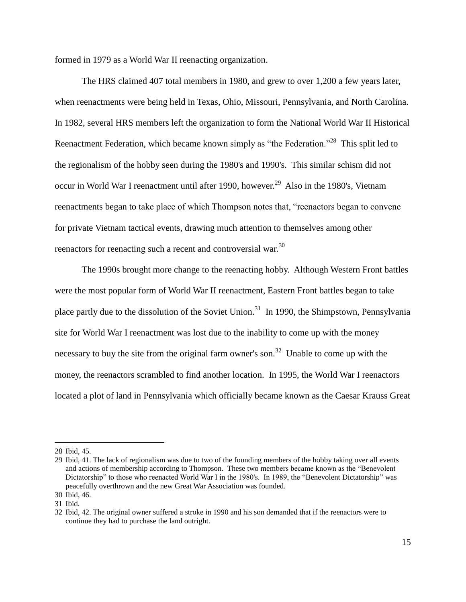formed in 1979 as a World War II reenacting organization.

The HRS claimed 407 total members in 1980, and grew to over 1,200 a few years later, when reenactments were being held in Texas, Ohio, Missouri, Pennsylvania, and North Carolina. In 1982, several HRS members left the organization to form the National World War II Historical Reenactment Federation, which became known simply as "the Federation."<sup>28</sup> This split led to the regionalism of the hobby seen during the 1980's and 1990's. This similar schism did not occur in World War I reenactment until after 1990, however.<sup>29</sup> Also in the 1980's, Vietnam reenactments began to take place of which Thompson notes that, "reenactors began to convene for private Vietnam tactical events, drawing much attention to themselves among other reenactors for reenacting such a recent and controversial war.<sup>30</sup>

The 1990s brought more change to the reenacting hobby. Although Western Front battles were the most popular form of World War II reenactment, Eastern Front battles began to take place partly due to the dissolution of the Soviet Union.<sup>31</sup> In 1990, the Shimpstown, Pennsylvania site for World War I reenactment was lost due to the inability to come up with the money necessary to buy the site from the original farm owner's son.<sup>32</sup> Unable to come up with the money, the reenactors scrambled to find another location. In 1995, the World War I reenactors located a plot of land in Pennsylvania which officially became known as the Caesar Krauss Great

<sup>28</sup> Ibid, 45.

<sup>29</sup> Ibid, 41. The lack of regionalism was due to two of the founding members of the hobby taking over all events and actions of membership according to Thompson. These two members became known as the "Benevolent Dictatorship" to those who reenacted World War I in the 1980's. In 1989, the "Benevolent Dictatorship" was peacefully overthrown and the new Great War Association was founded.

<sup>30</sup> Ibid, 46.

<sup>31</sup> Ibid.

<sup>32</sup> Ibid, 42. The original owner suffered a stroke in 1990 and his son demanded that if the reenactors were to continue they had to purchase the land outright.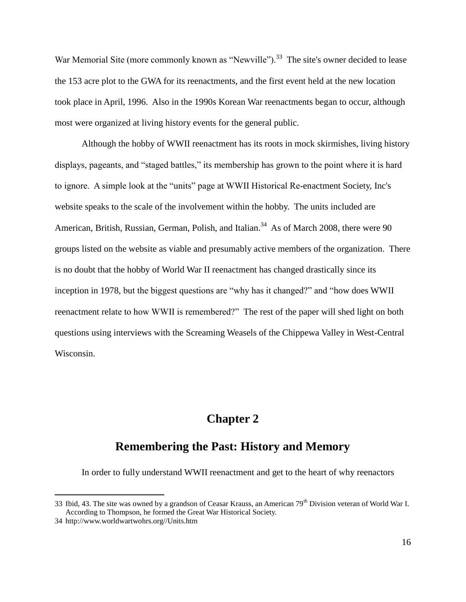War Memorial Site (more commonly known as "Newville").<sup>33</sup> The site's owner decided to lease the 153 acre plot to the GWA for its reenactments, and the first event held at the new location took place in April, 1996. Also in the 1990s Korean War reenactments began to occur, although most were organized at living history events for the general public.

Although the hobby of WWII reenactment has its roots in mock skirmishes, living history displays, pageants, and "staged battles," its membership has grown to the point where it is hard to ignore. A simple look at the "units" page at WWII Historical Re-enactment Society, Inc's website speaks to the scale of the involvement within the hobby. The units included are American, British, Russian, German, Polish, and Italian.<sup>34</sup> As of March 2008, there were 90 groups listed on the website as viable and presumably active members of the organization. There is no doubt that the hobby of World War II reenactment has changed drastically since its inception in 1978, but the biggest questions are "why has it changed?" and "how does WWII reenactment relate to how WWII is remembered?" The rest of the paper will shed light on both questions using interviews with the Screaming Weasels of the Chippewa Valley in West-Central Wisconsin.

## **Chapter 2**

## **Remembering the Past: History and Memory**

In order to fully understand WWII reenactment and get to the heart of why reenactors

<sup>33</sup> Ibid, 43. The site was owned by a grandson of Ceasar Krauss, an American 79<sup>th</sup> Division veteran of World War I. According to Thompson, he formed the Great War Historical Society.

<sup>34</sup> http://www.worldwartwohrs.org//Units.htm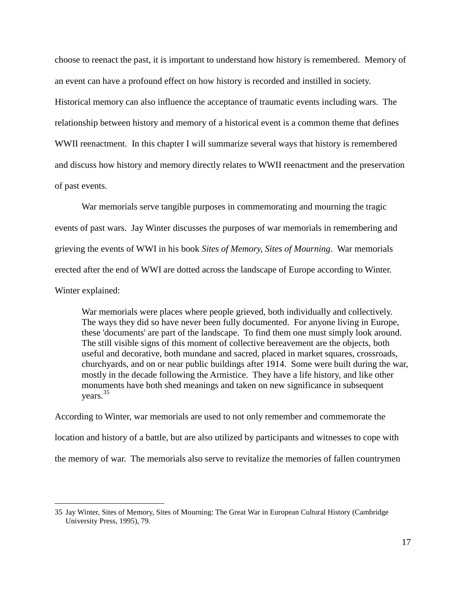choose to reenact the past, it is important to understand how history is remembered. Memory of an event can have a profound effect on how history is recorded and instilled in society.

Historical memory can also influence the acceptance of traumatic events including wars. The relationship between history and memory of a historical event is a common theme that defines WWII reenactment. In this chapter I will summarize several ways that history is remembered and discuss how history and memory directly relates to WWII reenactment and the preservation of past events.

War memorials serve tangible purposes in commemorating and mourning the tragic events of past wars. Jay Winter discusses the purposes of war memorials in remembering and grieving the events of WWI in his book *Sites of Memory, Sites of Mourning*. War memorials erected after the end of WWI are dotted across the landscape of Europe according to Winter. Winter explained:

War memorials were places where people grieved, both individually and collectively. The ways they did so have never been fully documented. For anyone living in Europe, these 'documents' are part of the landscape. To find them one must simply look around. The still visible signs of this moment of collective bereavement are the objects, both useful and decorative, both mundane and sacred, placed in market squares, crossroads, churchyards, and on or near public buildings after 1914. Some were built during the war, mostly in the decade following the Armistice. They have a life history, and like other monuments have both shed meanings and taken on new significance in subsequent years.<sup>35</sup>

According to Winter, war memorials are used to not only remember and commemorate the location and history of a battle, but are also utilized by participants and witnesses to cope with the memory of war. The memorials also serve to revitalize the memories of fallen countrymen

<sup>35</sup> Jay Winter, Sites of Memory, Sites of Mourning: The Great War in European Cultural History (Cambridge University Press, 1995), 79.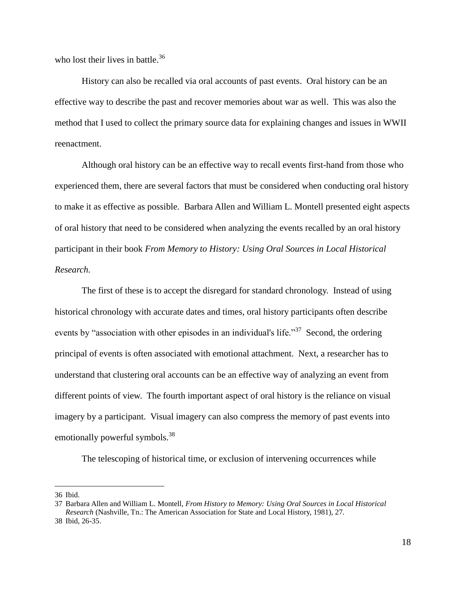who lost their lives in battle. $36$ 

History can also be recalled via oral accounts of past events. Oral history can be an effective way to describe the past and recover memories about war as well. This was also the method that I used to collect the primary source data for explaining changes and issues in WWII reenactment.

Although oral history can be an effective way to recall events first-hand from those who experienced them, there are several factors that must be considered when conducting oral history to make it as effective as possible. Barbara Allen and William L. Montell presented eight aspects of oral history that need to be considered when analyzing the events recalled by an oral history participant in their book *From Memory to History: Using Oral Sources in Local Historical Research.*

The first of these is to accept the disregard for standard chronology. Instead of using historical chronology with accurate dates and times, oral history participants often describe events by "association with other episodes in an individual's life."<sup>37</sup> Second, the ordering principal of events is often associated with emotional attachment. Next, a researcher has to understand that clustering oral accounts can be an effective way of analyzing an event from different points of view. The fourth important aspect of oral history is the reliance on visual imagery by a participant. Visual imagery can also compress the memory of past events into emotionally powerful symbols.<sup>38</sup>

The telescoping of historical time, or exclusion of intervening occurrences while

<sup>36</sup> Ibid.

<sup>37</sup> Barbara Allen and William L. Montell, *From History to Memory: Using Oral Sources in Local Historical Research* (Nashville, Tn.: The American Association for State and Local History, 1981), 27. 38 Ibid, 26-35.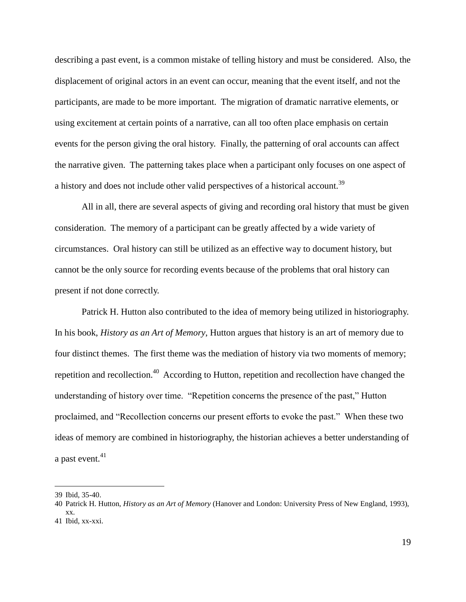describing a past event, is a common mistake of telling history and must be considered. Also, the displacement of original actors in an event can occur, meaning that the event itself, and not the participants, are made to be more important. The migration of dramatic narrative elements, or using excitement at certain points of a narrative, can all too often place emphasis on certain events for the person giving the oral history. Finally, the patterning of oral accounts can affect the narrative given. The patterning takes place when a participant only focuses on one aspect of a history and does not include other valid perspectives of a historical account.<sup>39</sup>

All in all, there are several aspects of giving and recording oral history that must be given consideration. The memory of a participant can be greatly affected by a wide variety of circumstances. Oral history can still be utilized as an effective way to document history, but cannot be the only source for recording events because of the problems that oral history can present if not done correctly.

Patrick H. Hutton also contributed to the idea of memory being utilized in historiography. In his book, *History as an Art of Memory*, Hutton argues that history is an art of memory due to four distinct themes. The first theme was the mediation of history via two moments of memory; repetition and recollection.<sup>40</sup> According to Hutton, repetition and recollection have changed the understanding of history over time. "Repetition concerns the presence of the past," Hutton proclaimed, and "Recollection concerns our present efforts to evoke the past." When these two ideas of memory are combined in historiography, the historian achieves a better understanding of a past event.<sup>41</sup>

<sup>39</sup> Ibid, 35-40.

<sup>40</sup> Patrick H. Hutton, *History as an Art of Memory* (Hanover and London: University Press of New England, 1993), xx. 41 Ibid, xx-xxi.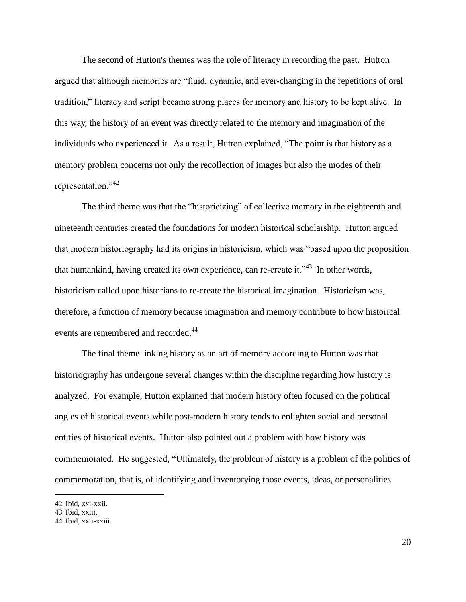The second of Hutton's themes was the role of literacy in recording the past. Hutton argued that although memories are "fluid, dynamic, and ever-changing in the repetitions of oral tradition," literacy and script became strong places for memory and history to be kept alive. In this way, the history of an event was directly related to the memory and imagination of the individuals who experienced it. As a result, Hutton explained, "The point is that history as a memory problem concerns not only the recollection of images but also the modes of their representation."<sup>42</sup>

The third theme was that the "historicizing" of collective memory in the eighteenth and nineteenth centuries created the foundations for modern historical scholarship. Hutton argued that modern historiography had its origins in historicism, which was "based upon the proposition that humankind, having created its own experience, can re-create it."<sup>43</sup> In other words, historicism called upon historians to re-create the historical imagination. Historicism was, therefore, a function of memory because imagination and memory contribute to how historical events are remembered and recorded.<sup>44</sup>

The final theme linking history as an art of memory according to Hutton was that historiography has undergone several changes within the discipline regarding how history is analyzed. For example, Hutton explained that modern history often focused on the political angles of historical events while post-modern history tends to enlighten social and personal entities of historical events. Hutton also pointed out a problem with how history was commemorated. He suggested, "Ultimately, the problem of history is a problem of the politics of commemoration, that is, of identifying and inventorying those events, ideas, or personalities

<sup>42</sup> Ibid, xxi-xxii.

<sup>43</sup> Ibid, xxiii.

<sup>44</sup> Ibid, xxii-xxiii.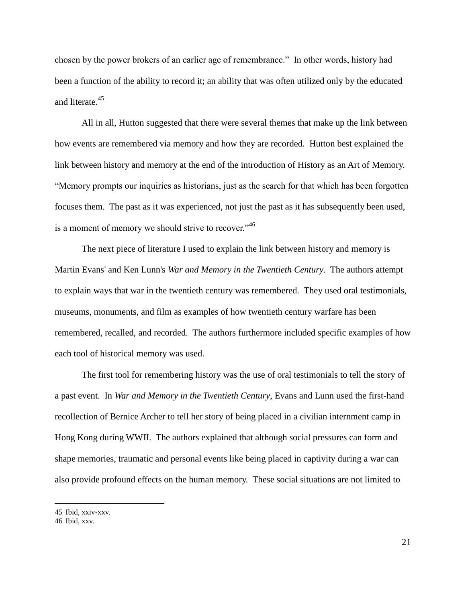chosen by the power brokers of an earlier age of remembrance." In other words, history had been a function of the ability to record it; an ability that was often utilized only by the educated and literate.<sup>45</sup>

All in all, Hutton suggested that there were several themes that make up the link between how events are remembered via memory and how they are recorded. Hutton best explained the link between history and memory at the end of the introduction of History as an Art of Memory. "Memory prompts our inquiries as historians, just as the search for that which has been forgotten focuses them. The past as it was experienced, not just the past as it has subsequently been used, is a moment of memory we should strive to recover."<sup>46</sup>

The next piece of literature I used to explain the link between history and memory is Martin Evans' and Ken Lunn's *War and Memory in the Twentieth Century*. The authors attempt to explain ways that war in the twentieth century was remembered. They used oral testimonials, museums, monuments, and film as examples of how twentieth century warfare has been remembered, recalled, and recorded. The authors furthermore included specific examples of how each tool of historical memory was used.

The first tool for remembering history was the use of oral testimonials to tell the story of a past event. In *War and Memory in the Twentieth Century*, Evans and Lunn used the first-hand recollection of Bernice Archer to tell her story of being placed in a civilian internment camp in Hong Kong during WWII. The authors explained that although social pressures can form and shape memories, traumatic and personal events like being placed in captivity during a war can also provide profound effects on the human memory. These social situations are not limited to

<sup>45</sup> Ibid, xxiv-xxv.

<sup>46</sup> Ibid, xxv.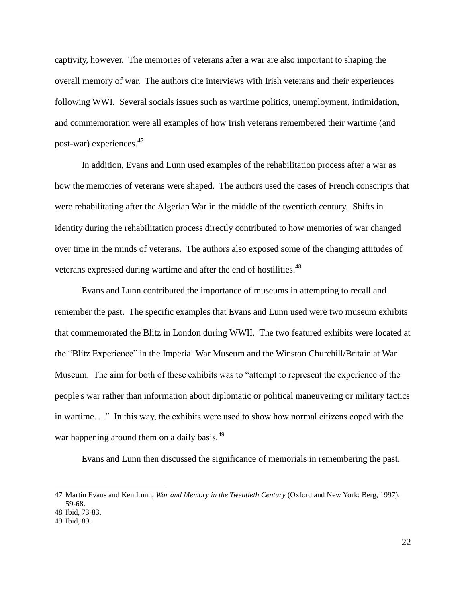captivity, however. The memories of veterans after a war are also important to shaping the overall memory of war. The authors cite interviews with Irish veterans and their experiences following WWI. Several socials issues such as wartime politics, unemployment, intimidation, and commemoration were all examples of how Irish veterans remembered their wartime (and post-war) experiences.<sup>47</sup>

In addition, Evans and Lunn used examples of the rehabilitation process after a war as how the memories of veterans were shaped. The authors used the cases of French conscripts that were rehabilitating after the Algerian War in the middle of the twentieth century. Shifts in identity during the rehabilitation process directly contributed to how memories of war changed over time in the minds of veterans. The authors also exposed some of the changing attitudes of veterans expressed during wartime and after the end of hostilities.<sup>48</sup>

Evans and Lunn contributed the importance of museums in attempting to recall and remember the past. The specific examples that Evans and Lunn used were two museum exhibits that commemorated the Blitz in London during WWII. The two featured exhibits were located at the "Blitz Experience" in the Imperial War Museum and the Winston Churchill/Britain at War Museum. The aim for both of these exhibits was to "attempt to represent the experience of the people's war rather than information about diplomatic or political maneuvering or military tactics in wartime. . ." In this way, the exhibits were used to show how normal citizens coped with the war happening around them on a daily basis.<sup>49</sup>

Evans and Lunn then discussed the significance of memorials in remembering the past.

<sup>47</sup> Martin Evans and Ken Lunn, *War and Memory in the Twentieth Century* (Oxford and New York: Berg, 1997), 59-68.

<sup>48</sup> Ibid, 73-83.

<sup>49</sup> Ibid, 89.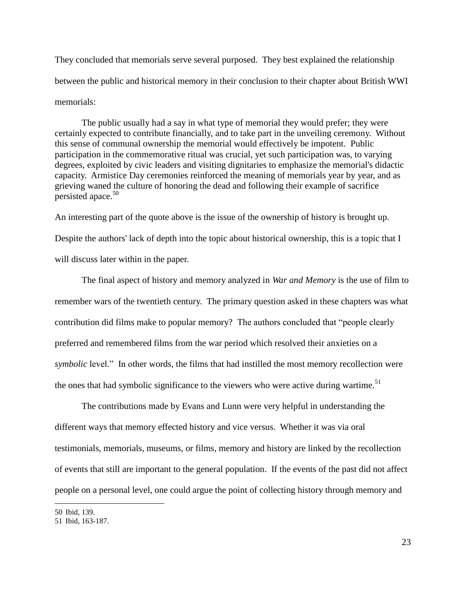They concluded that memorials serve several purposed. They best explained the relationship between the public and historical memory in their conclusion to their chapter about British WWI memorials:

The public usually had a say in what type of memorial they would prefer; they were certainly expected to contribute financially, and to take part in the unveiling ceremony. Without this sense of communal ownership the memorial would effectively be impotent. Public participation in the commemorative ritual was crucial, yet such participation was, to varying degrees, exploited by civic leaders and visiting dignitaries to emphasize the memorial's didactic capacity. Armistice Day ceremonies reinforced the meaning of memorials year by year, and as grieving waned the culture of honoring the dead and following their example of sacrifice persisted apace.<sup>50</sup>

An interesting part of the quote above is the issue of the ownership of history is brought up. Despite the authors' lack of depth into the topic about historical ownership, this is a topic that I will discuss later within in the paper.

The final aspect of history and memory analyzed in *War and Memory* is the use of film to remember wars of the twentieth century. The primary question asked in these chapters was what contribution did films make to popular memory? The authors concluded that "people clearly preferred and remembered films from the war period which resolved their anxieties on a *symbolic* level." In other words, the films that had instilled the most memory recollection were the ones that had symbolic significance to the viewers who were active during wartime.<sup>51</sup>

The contributions made by Evans and Lunn were very helpful in understanding the different ways that memory effected history and vice versus. Whether it was via oral testimonials, memorials, museums, or films, memory and history are linked by the recollection of events that still are important to the general population. If the events of the past did not affect people on a personal level, one could argue the point of collecting history through memory and

<sup>50</sup> Ibid, 139.

<sup>51</sup> Ibid, 163-187.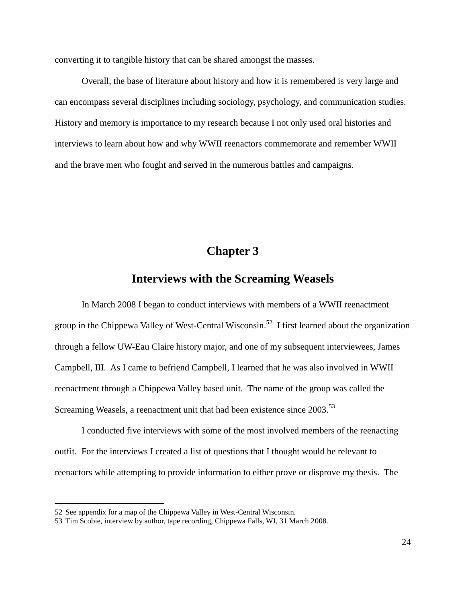converting it to tangible history that can be shared amongst the masses.

Overall, the base of literature about history and how it is remembered is very large and can encompass several disciplines including sociology, psychology, and communication studies. History and memory is importance to my research because I not only used oral histories and interviews to learn about how and why WWII reenactors commemorate and remember WWII and the brave men who fought and served in the numerous battles and campaigns.

## **Chapter 3**

### **Interviews with the Screaming Weasels**

In March 2008 I began to conduct interviews with members of a WWII reenactment group in the Chippewa Valley of West-Central Wisconsin.<sup>52</sup> I first learned about the organization through a fellow UW-Eau Claire history major, and one of my subsequent interviewees, James Campbell, III. As I came to befriend Campbell, I learned that he was also involved in WWII reenactment through a Chippewa Valley based unit. The name of the group was called the Screaming Weasels, a reenactment unit that had been existence since 2003.<sup>53</sup>

I conducted five interviews with some of the most involved members of the reenacting outfit. For the interviews I created a list of questions that I thought would be relevant to reenactors while attempting to provide information to either prove or disprove my thesis. The

<sup>52</sup> See appendix for a map of the Chippewa Valley in West-Central Wisconsin.

<sup>53</sup> Tim Scobie, interview by author, tape recording, Chippewa Falls, WI, 31 March 2008.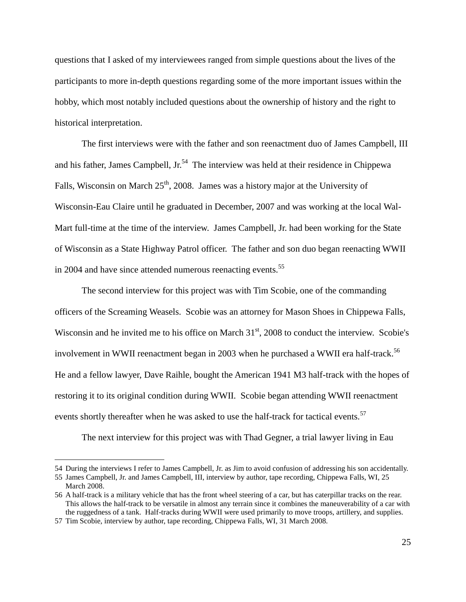questions that I asked of my interviewees ranged from simple questions about the lives of the participants to more in-depth questions regarding some of the more important issues within the hobby, which most notably included questions about the ownership of history and the right to historical interpretation.

The first interviews were with the father and son reenactment duo of James Campbell, III and his father, James Campbell, Jr.<sup>54</sup> The interview was held at their residence in Chippewa Falls, Wisconsin on March  $25<sup>th</sup>$ , 2008. James was a history major at the University of Wisconsin-Eau Claire until he graduated in December, 2007 and was working at the local Wal-Mart full-time at the time of the interview. James Campbell, Jr. had been working for the State of Wisconsin as a State Highway Patrol officer. The father and son duo began reenacting WWII in 2004 and have since attended numerous reenacting events.<sup>55</sup>

The second interview for this project was with Tim Scobie, one of the commanding officers of the Screaming Weasels. Scobie was an attorney for Mason Shoes in Chippewa Falls, Wisconsin and he invited me to his office on March  $31<sup>st</sup>$ , 2008 to conduct the interview. Scobie's involvement in WWII reenactment began in 2003 when he purchased a WWII era half-track.<sup>56</sup> He and a fellow lawyer, Dave Raihle, bought the American 1941 M3 half-track with the hopes of restoring it to its original condition during WWII. Scobie began attending WWII reenactment events shortly thereafter when he was asked to use the half-track for tactical events.<sup>57</sup>

The next interview for this project was with Thad Gegner, a trial lawyer living in Eau

<sup>54</sup> During the interviews I refer to James Campbell, Jr. as Jim to avoid confusion of addressing his son accidentally.

<sup>55</sup> James Campbell, Jr. and James Campbell, III, interview by author, tape recording, Chippewa Falls, WI, 25 March 2008.

<sup>56</sup> A half-track is a military vehicle that has the front wheel steering of a car, but has caterpillar tracks on the rear. This allows the half-track to be versatile in almost any terrain since it combines the maneuverability of a car with the ruggedness of a tank. Half-tracks during WWII were used primarily to move troops, artillery, and supplies.

<sup>57</sup> Tim Scobie, interview by author, tape recording, Chippewa Falls, WI, 31 March 2008.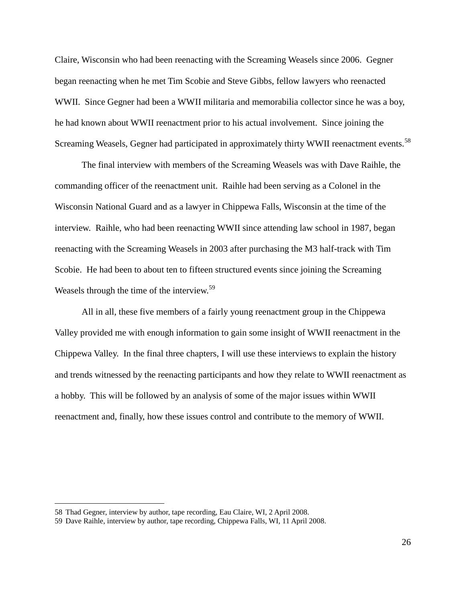Claire, Wisconsin who had been reenacting with the Screaming Weasels since 2006. Gegner began reenacting when he met Tim Scobie and Steve Gibbs, fellow lawyers who reenacted WWII. Since Gegner had been a WWII militaria and memorabilia collector since he was a boy, he had known about WWII reenactment prior to his actual involvement. Since joining the Screaming Weasels, Gegner had participated in approximately thirty WWII reenactment events.<sup>58</sup>

The final interview with members of the Screaming Weasels was with Dave Raihle, the commanding officer of the reenactment unit. Raihle had been serving as a Colonel in the Wisconsin National Guard and as a lawyer in Chippewa Falls, Wisconsin at the time of the interview. Raihle, who had been reenacting WWII since attending law school in 1987, began reenacting with the Screaming Weasels in 2003 after purchasing the M3 half-track with Tim Scobie. He had been to about ten to fifteen structured events since joining the Screaming Weasels through the time of the interview.<sup>59</sup>

All in all, these five members of a fairly young reenactment group in the Chippewa Valley provided me with enough information to gain some insight of WWII reenactment in the Chippewa Valley. In the final three chapters, I will use these interviews to explain the history and trends witnessed by the reenacting participants and how they relate to WWII reenactment as a hobby. This will be followed by an analysis of some of the major issues within WWII reenactment and, finally, how these issues control and contribute to the memory of WWII.

<sup>58</sup> Thad Gegner, interview by author, tape recording, Eau Claire, WI, 2 April 2008.

<sup>59</sup> Dave Raihle, interview by author, tape recording, Chippewa Falls, WI, 11 April 2008.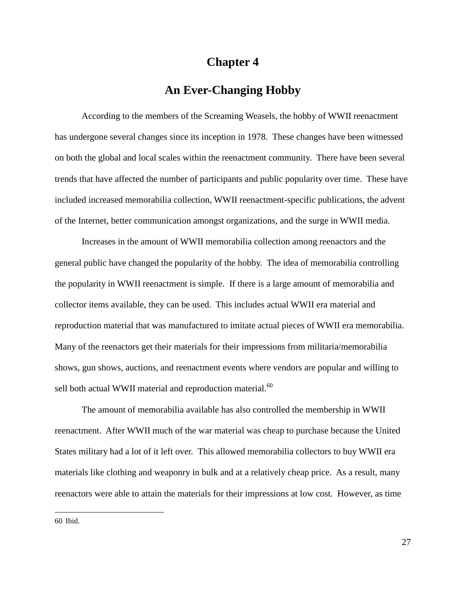### **Chapter 4**

## **An Ever-Changing Hobby**

According to the members of the Screaming Weasels, the hobby of WWII reenactment has undergone several changes since its inception in 1978. These changes have been witnessed on both the global and local scales within the reenactment community. There have been several trends that have affected the number of participants and public popularity over time. These have included increased memorabilia collection, WWII reenactment-specific publications, the advent of the Internet, better communication amongst organizations, and the surge in WWII media.

Increases in the amount of WWII memorabilia collection among reenactors and the general public have changed the popularity of the hobby. The idea of memorabilia controlling the popularity in WWII reenactment is simple. If there is a large amount of memorabilia and collector items available, they can be used. This includes actual WWII era material and reproduction material that was manufactured to imitate actual pieces of WWII era memorabilia. Many of the reenactors get their materials for their impressions from militaria/memorabilia shows, gun shows, auctions, and reenactment events where vendors are popular and willing to sell both actual WWII material and reproduction material.<sup>60</sup>

The amount of memorabilia available has also controlled the membership in WWII reenactment. After WWII much of the war material was cheap to purchase because the United States military had a lot of it left over. This allowed memorabilia collectors to buy WWII era materials like clothing and weaponry in bulk and at a relatively cheap price. As a result, many reenactors were able to attain the materials for their impressions at low cost. However, as time

60 Ibid.

 $\overline{a}$ 

27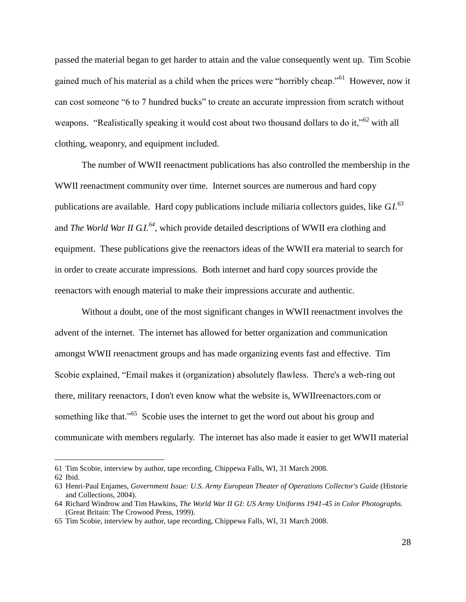passed the material began to get harder to attain and the value consequently went up. Tim Scobie gained much of his material as a child when the prices were "horribly cheap."<sup>61</sup> However, now it can cost someone "6 to 7 hundred bucks" to create an accurate impression from scratch without weapons. "Realistically speaking it would cost about two thousand dollars to do it,"<sup>62</sup> with all clothing, weaponry, and equipment included.

The number of WWII reenactment publications has also controlled the membership in the WWII reenactment community over time. Internet sources are numerous and hard copy publications are available. Hard copy publications include miliaria collectors guides, like *G.I.<sup>63</sup>* and *The World War II G.I.<sup>64</sup>* , which provide detailed descriptions of WWII era clothing and equipment. These publications give the reenactors ideas of the WWII era material to search for in order to create accurate impressions. Both internet and hard copy sources provide the reenactors with enough material to make their impressions accurate and authentic.

Without a doubt, one of the most significant changes in WWII reenactment involves the advent of the internet. The internet has allowed for better organization and communication amongst WWII reenactment groups and has made organizing events fast and effective. Tim Scobie explained, "Email makes it (organization) absolutely flawless. There's a web-ring out there, military reenactors, I don't even know what the website is, WWIIreenactors.com or something like that."<sup>65</sup> Scobie uses the internet to get the word out about his group and communicate with members regularly. The internet has also made it easier to get WWII material

<sup>61</sup> Tim Scobie, interview by author, tape recording, Chippewa Falls, WI, 31 March 2008.

<sup>62</sup> Ibid.

<sup>63</sup> Henri-Paul Enjames, *Government Issue: U.S. Army European Theater of Operations Collector's Guide* (Historie and Collections, 2004).

<sup>64</sup> Richard Windrow and Tim Hawkins, *The World War II GI: US Army Uniforms 1941-45 in Color Photographs.* (Great Britain: The Crowood Press, 1999).

<sup>65</sup> Tim Scobie, interview by author, tape recording, Chippewa Falls, WI, 31 March 2008.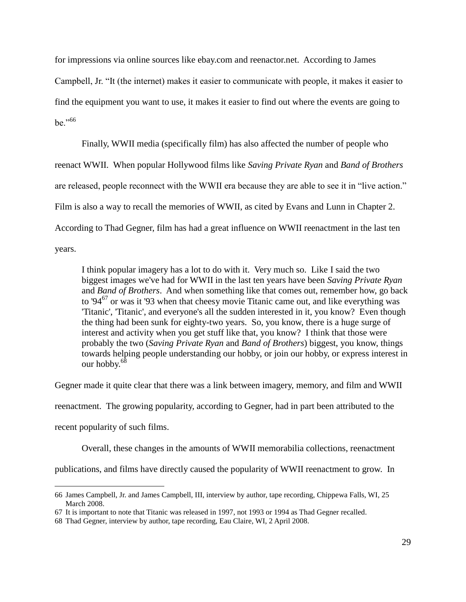for impressions via online sources like ebay.com and reenactor.net. According to James Campbell, Jr. "It (the internet) makes it easier to communicate with people, it makes it easier to find the equipment you want to use, it makes it easier to find out where the events are going to be."66

Finally, WWII media (specifically film) has also affected the number of people who reenact WWII. When popular Hollywood films like *Saving Private Ryan* and *Band of Brothers* are released, people reconnect with the WWII era because they are able to see it in "live action." Film is also a way to recall the memories of WWII, as cited by Evans and Lunn in Chapter 2. According to Thad Gegner, film has had a great influence on WWII reenactment in the last ten years.

I think popular imagery has a lot to do with it. Very much so. Like I said the two biggest images we've had for WWII in the last ten years have been *Saving Private Ryan* and *Band of Brothers*. And when something like that comes out, remember how, go back to '94<sup>67</sup> or was it '93 when that cheesy movie Titanic came out, and like everything was 'Titanic', 'Titanic', and everyone's all the sudden interested in it, you know? Even though the thing had been sunk for eighty-two years. So, you know, there is a huge surge of interest and activity when you get stuff like that, you know? I think that those were probably the two (*Saving Private Ryan* and *Band of Brothers*) biggest, you know, things towards helping people understanding our hobby, or join our hobby, or express interest in our hobby.<sup>68</sup>

Gegner made it quite clear that there was a link between imagery, memory, and film and WWII

reenactment. The growing popularity, according to Gegner, had in part been attributed to the

recent popularity of such films.

Overall, these changes in the amounts of WWII memorabilia collections, reenactment

publications, and films have directly caused the popularity of WWII reenactment to grow. In

 $\overline{a}$ 66 James Campbell, Jr. and James Campbell, III, interview by author, tape recording, Chippewa Falls, WI, 25 March 2008.

<sup>67</sup> It is important to note that Titanic was released in 1997, not 1993 or 1994 as Thad Gegner recalled.

<sup>68</sup> Thad Gegner, interview by author, tape recording, Eau Claire, WI, 2 April 2008.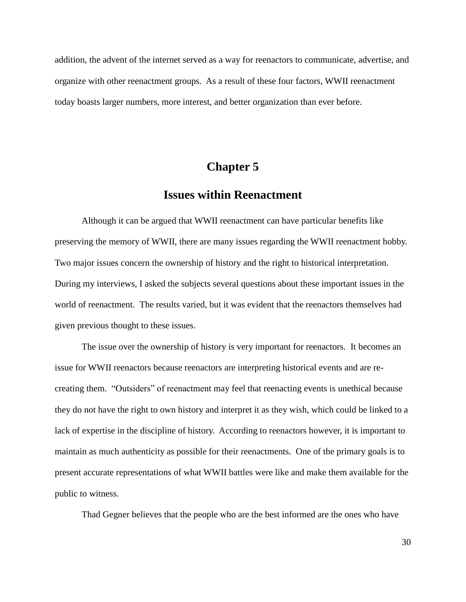addition, the advent of the internet served as a way for reenactors to communicate, advertise, and organize with other reenactment groups. As a result of these four factors, WWII reenactment today boasts larger numbers, more interest, and better organization than ever before.

## **Chapter 5**

## **Issues within Reenactment**

Although it can be argued that WWII reenactment can have particular benefits like preserving the memory of WWII, there are many issues regarding the WWII reenactment hobby. Two major issues concern the ownership of history and the right to historical interpretation. During my interviews, I asked the subjects several questions about these important issues in the world of reenactment. The results varied, but it was evident that the reenactors themselves had given previous thought to these issues.

The issue over the ownership of history is very important for reenactors. It becomes an issue for WWII reenactors because reenactors are interpreting historical events and are recreating them. "Outsiders" of reenactment may feel that reenacting events is unethical because they do not have the right to own history and interpret it as they wish, which could be linked to a lack of expertise in the discipline of history. According to reenactors however, it is important to maintain as much authenticity as possible for their reenactments. One of the primary goals is to present accurate representations of what WWII battles were like and make them available for the public to witness.

Thad Gegner believes that the people who are the best informed are the ones who have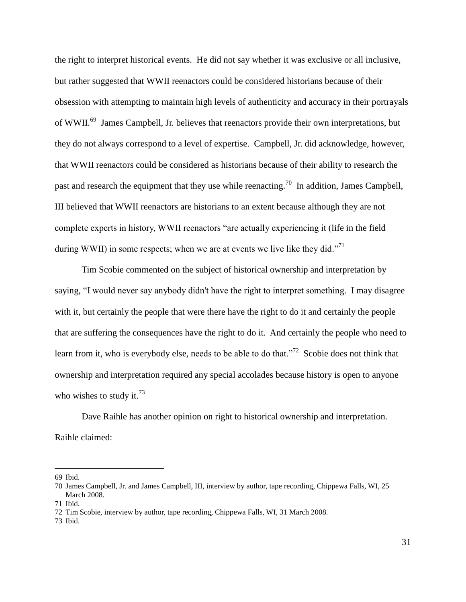the right to interpret historical events. He did not say whether it was exclusive or all inclusive, but rather suggested that WWII reenactors could be considered historians because of their obsession with attempting to maintain high levels of authenticity and accuracy in their portrayals of WWII.<sup>69</sup> James Campbell, Jr. believes that reenactors provide their own interpretations, but they do not always correspond to a level of expertise. Campbell, Jr. did acknowledge, however, that WWII reenactors could be considered as historians because of their ability to research the past and research the equipment that they use while reenacting.<sup>70</sup> In addition, James Campbell, III believed that WWII reenactors are historians to an extent because although they are not complete experts in history, WWII reenactors "are actually experiencing it (life in the field during WWII) in some respects; when we are at events we live like they did."<sup>71</sup>

Tim Scobie commented on the subject of historical ownership and interpretation by saying, "I would never say anybody didn't have the right to interpret something. I may disagree with it, but certainly the people that were there have the right to do it and certainly the people that are suffering the consequences have the right to do it. And certainly the people who need to learn from it, who is everybody else, needs to be able to do that."<sup>72</sup> Scobie does not think that ownership and interpretation required any special accolades because history is open to anyone who wishes to study it.<sup>73</sup>

Dave Raihle has another opinion on right to historical ownership and interpretation. Raihle claimed:

<sup>69</sup> Ibid.

<sup>70</sup> James Campbell, Jr. and James Campbell, III, interview by author, tape recording, Chippewa Falls, WI, 25 March 2008.

<sup>71</sup> Ibid.

<sup>72</sup> Tim Scobie, interview by author, tape recording, Chippewa Falls, WI, 31 March 2008.

<sup>73</sup> Ibid.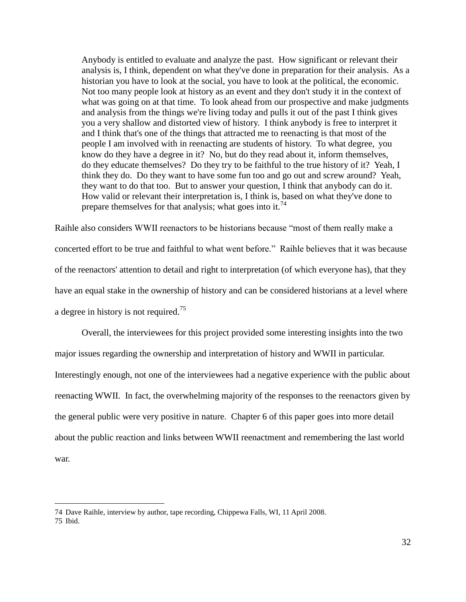Anybody is entitled to evaluate and analyze the past. How significant or relevant their analysis is, I think, dependent on what they've done in preparation for their analysis. As a historian you have to look at the social, you have to look at the political, the economic. Not too many people look at history as an event and they don't study it in the context of what was going on at that time. To look ahead from our prospective and make judgments and analysis from the things we're living today and pulls it out of the past I think gives you a very shallow and distorted view of history. I think anybody is free to interpret it and I think that's one of the things that attracted me to reenacting is that most of the people I am involved with in reenacting are students of history. To what degree, you know do they have a degree in it? No, but do they read about it, inform themselves, do they educate themselves? Do they try to be faithful to the true history of it? Yeah, I think they do. Do they want to have some fun too and go out and screw around? Yeah, they want to do that too. But to answer your question, I think that anybody can do it. How valid or relevant their interpretation is, I think is, based on what they've done to prepare themselves for that analysis; what goes into it.<sup>74</sup>

Raihle also considers WWII reenactors to be historians because "most of them really make a concerted effort to be true and faithful to what went before." Raihle believes that it was because of the reenactors' attention to detail and right to interpretation (of which everyone has), that they have an equal stake in the ownership of history and can be considered historians at a level where a degree in history is not required.<sup>75</sup>

Overall, the interviewees for this project provided some interesting insights into the two major issues regarding the ownership and interpretation of history and WWII in particular. Interestingly enough, not one of the interviewees had a negative experience with the public about reenacting WWII. In fact, the overwhelming majority of the responses to the reenactors given by the general public were very positive in nature. Chapter 6 of this paper goes into more detail about the public reaction and links between WWII reenactment and remembering the last world war.

<sup>74</sup> Dave Raihle, interview by author, tape recording, Chippewa Falls, WI, 11 April 2008. 75 Ibid.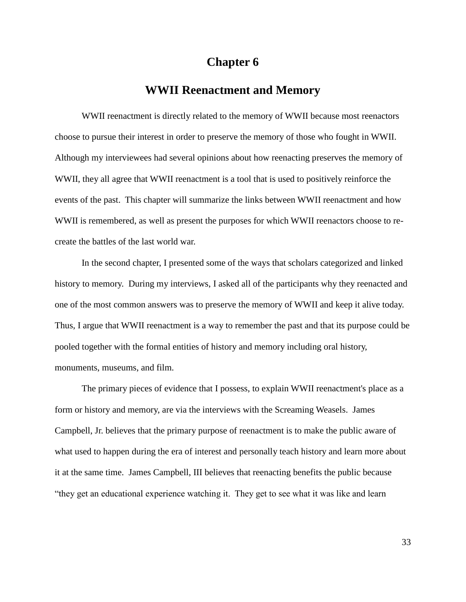### **Chapter 6**

### **WWII Reenactment and Memory**

WWII reenactment is directly related to the memory of WWII because most reenactors choose to pursue their interest in order to preserve the memory of those who fought in WWII. Although my interviewees had several opinions about how reenacting preserves the memory of WWII, they all agree that WWII reenactment is a tool that is used to positively reinforce the events of the past. This chapter will summarize the links between WWII reenactment and how WWII is remembered, as well as present the purposes for which WWII reenactors choose to recreate the battles of the last world war.

In the second chapter, I presented some of the ways that scholars categorized and linked history to memory. During my interviews, I asked all of the participants why they reenacted and one of the most common answers was to preserve the memory of WWII and keep it alive today. Thus, I argue that WWII reenactment is a way to remember the past and that its purpose could be pooled together with the formal entities of history and memory including oral history, monuments, museums, and film.

The primary pieces of evidence that I possess, to explain WWII reenactment's place as a form or history and memory, are via the interviews with the Screaming Weasels. James Campbell, Jr. believes that the primary purpose of reenactment is to make the public aware of what used to happen during the era of interest and personally teach history and learn more about it at the same time. James Campbell, III believes that reenacting benefits the public because "they get an educational experience watching it. They get to see what it was like and learn

33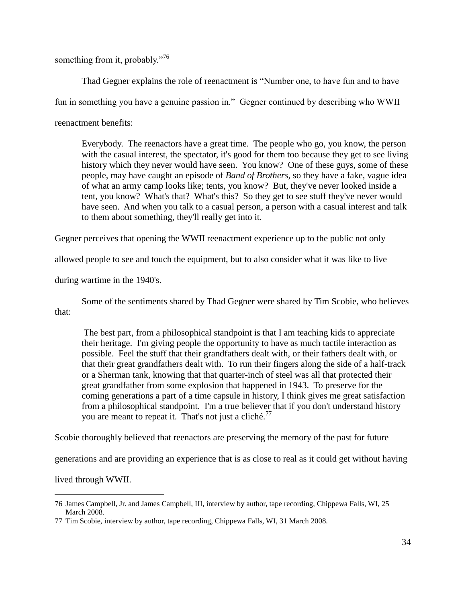something from it, probably."<sup>76</sup>

Thad Gegner explains the role of reenactment is "Number one, to have fun and to have fun in something you have a genuine passion in." Gegner continued by describing who WWII reenactment benefits:

Everybody. The reenactors have a great time. The people who go, you know, the person with the casual interest, the spectator, it's good for them too because they get to see living history which they never would have seen. You know? One of these guys, some of these people, may have caught an episode of *Band of Brothers*, so they have a fake, vague idea of what an army camp looks like; tents, you know? But, they've never looked inside a tent, you know? What's that? What's this? So they get to see stuff they've never would have seen. And when you talk to a casual person, a person with a casual interest and talk to them about something, they'll really get into it.

Gegner perceives that opening the WWII reenactment experience up to the public not only

allowed people to see and touch the equipment, but to also consider what it was like to live

during wartime in the 1940's.

Some of the sentiments shared by Thad Gegner were shared by Tim Scobie, who believes that:

The best part, from a philosophical standpoint is that I am teaching kids to appreciate their heritage. I'm giving people the opportunity to have as much tactile interaction as possible. Feel the stuff that their grandfathers dealt with, or their fathers dealt with, or that their great grandfathers dealt with. To run their fingers along the side of a half-track or a Sherman tank, knowing that that quarter-inch of steel was all that protected their great grandfather from some explosion that happened in 1943. To preserve for the coming generations a part of a time capsule in history, I think gives me great satisfaction from a philosophical standpoint. I'm a true believer that if you don't understand history you are meant to repeat it. That's not just a cliché.<sup>77</sup>

Scobie thoroughly believed that reenactors are preserving the memory of the past for future

generations and are providing an experience that is as close to real as it could get without having

lived through WWII.

<sup>76</sup> James Campbell, Jr. and James Campbell, III, interview by author, tape recording, Chippewa Falls, WI, 25 March 2008.

<sup>77</sup> Tim Scobie, interview by author, tape recording, Chippewa Falls, WI, 31 March 2008.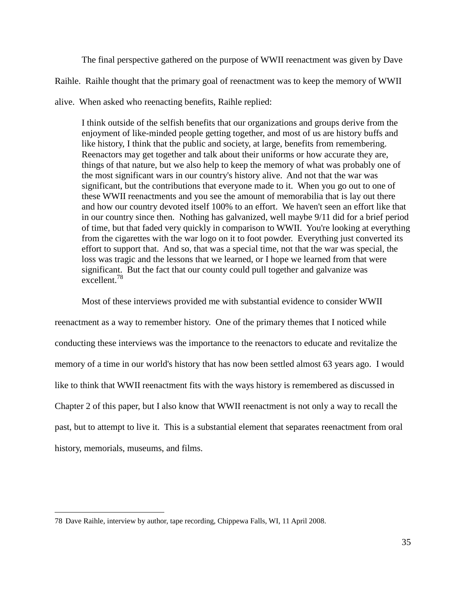The final perspective gathered on the purpose of WWII reenactment was given by Dave

Raihle. Raihle thought that the primary goal of reenactment was to keep the memory of WWII

alive. When asked who reenacting benefits, Raihle replied:

I think outside of the selfish benefits that our organizations and groups derive from the enjoyment of like-minded people getting together, and most of us are history buffs and like history, I think that the public and society, at large, benefits from remembering. Reenactors may get together and talk about their uniforms or how accurate they are, things of that nature, but we also help to keep the memory of what was probably one of the most significant wars in our country's history alive. And not that the war was significant, but the contributions that everyone made to it. When you go out to one of these WWII reenactments and you see the amount of memorabilia that is lay out there and how our country devoted itself 100% to an effort. We haven't seen an effort like that in our country since then. Nothing has galvanized, well maybe 9/11 did for a brief period of time, but that faded very quickly in comparison to WWII. You're looking at everything from the cigarettes with the war logo on it to foot powder. Everything just converted its effort to support that. And so, that was a special time, not that the war was special, the loss was tragic and the lessons that we learned, or I hope we learned from that were significant. But the fact that our county could pull together and galvanize was excellent.<sup>78</sup>

Most of these interviews provided me with substantial evidence to consider WWII reenactment as a way to remember history. One of the primary themes that I noticed while conducting these interviews was the importance to the reenactors to educate and revitalize the memory of a time in our world's history that has now been settled almost 63 years ago. I would like to think that WWII reenactment fits with the ways history is remembered as discussed in Chapter 2 of this paper, but I also know that WWII reenactment is not only a way to recall the past, but to attempt to live it. This is a substantial element that separates reenactment from oral history, memorials, museums, and films.

 $\overline{a}$ 78 Dave Raihle, interview by author, tape recording, Chippewa Falls, WI, 11 April 2008.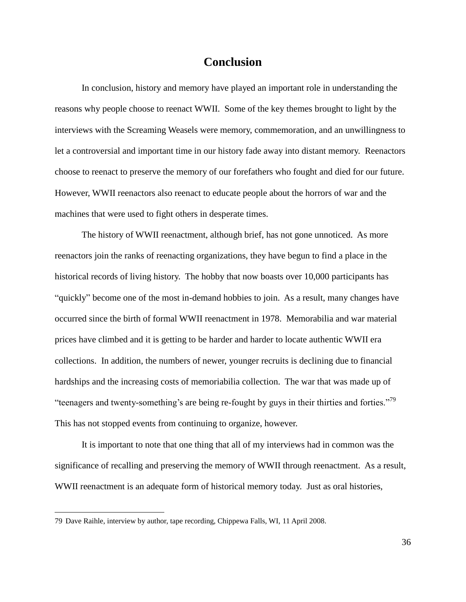### **Conclusion**

In conclusion, history and memory have played an important role in understanding the reasons why people choose to reenact WWII. Some of the key themes brought to light by the interviews with the Screaming Weasels were memory, commemoration, and an unwillingness to let a controversial and important time in our history fade away into distant memory. Reenactors choose to reenact to preserve the memory of our forefathers who fought and died for our future. However, WWII reenactors also reenact to educate people about the horrors of war and the machines that were used to fight others in desperate times.

The history of WWII reenactment, although brief, has not gone unnoticed. As more reenactors join the ranks of reenacting organizations, they have begun to find a place in the historical records of living history. The hobby that now boasts over 10,000 participants has "quickly" become one of the most in-demand hobbies to join. As a result, many changes have occurred since the birth of formal WWII reenactment in 1978. Memorabilia and war material prices have climbed and it is getting to be harder and harder to locate authentic WWII era collections. In addition, the numbers of newer, younger recruits is declining due to financial hardships and the increasing costs of memoriabilia collection. The war that was made up of "teenagers and twenty-something's are being re-fought by guys in their thirties and forties."<sup>79</sup> This has not stopped events from continuing to organize, however.

It is important to note that one thing that all of my interviews had in common was the significance of recalling and preserving the memory of WWII through reenactment. As a result, WWII reenactment is an adequate form of historical memory today. Just as oral histories,

 $\overline{a}$ 

36

<sup>79</sup> Dave Raihle, interview by author, tape recording, Chippewa Falls, WI, 11 April 2008.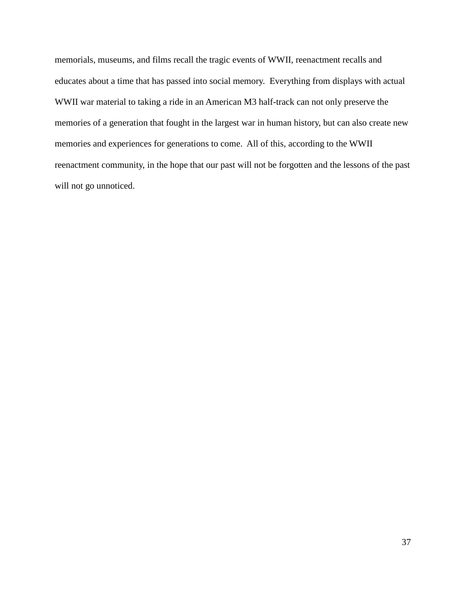memorials, museums, and films recall the tragic events of WWII, reenactment recalls and educates about a time that has passed into social memory. Everything from displays with actual WWII war material to taking a ride in an American M3 half-track can not only preserve the memories of a generation that fought in the largest war in human history, but can also create new memories and experiences for generations to come. All of this, according to the WWII reenactment community, in the hope that our past will not be forgotten and the lessons of the past will not go unnoticed.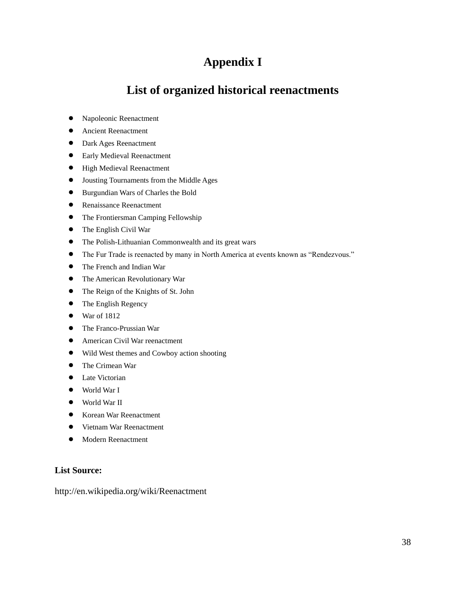## **Appendix I**

## **List of organized historical reenactments**

- Napoleonic Reenactment
- Ancient Reenactment
- Dark Ages Reenactment
- Early Medieval Reenactment
- **•** High Medieval Reenactment
- Jousting Tournaments from the Middle Ages
- Burgundian Wars of Charles the Bold
- **•** Renaissance Reenactment
- The Frontiersman Camping Fellowship
- The English Civil War
- The Polish-Lithuanian Commonwealth and its great wars
- The Fur Trade is reenacted by many in North America at events known as "Rendezvous."
- The French and Indian War
- The American Revolutionary War
- The Reign of the Knights of St. John
- The English Regency
- $\bullet$  War of 1812
- The Franco-Prussian War
- American Civil War reenactment
- Wild West themes and Cowboy action shooting
- The Crimean War
- Late Victorian
- World War I
- World War II
- Korean War Reenactment
- Vietnam War Reenactment
- **•** Modern Reenactment

#### **List Source:**

<http://en.wikipedia.org/wiki/Reenactment>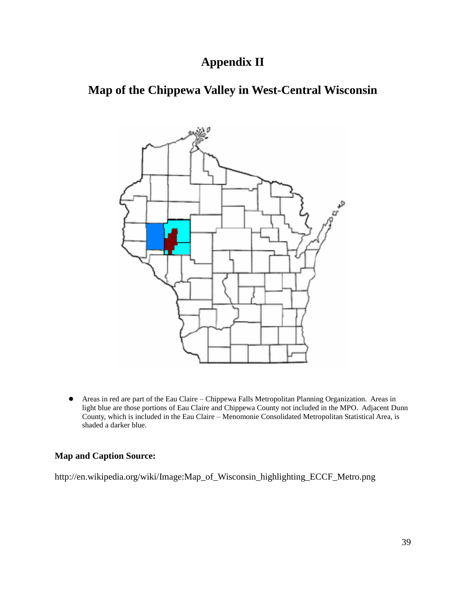## **Appendix II**

# **Map of the Chippewa Valley in West-Central Wisconsin**



 Areas in red are part of the Eau Claire – Chippewa Falls Metropolitan Planning Organization. Areas in light blue are those portions of Eau Claire and Chippewa County not included in the MPO. Adjacent Dunn County, which is included in the Eau Claire – Menomonie Consolidated Metropolitan Statistical Area, is shaded a darker blue.

### **Map and Caption Source:**

[http://en.wikipedia.org/wiki/Image:Map\\_of\\_Wisconsin\\_highlighting\\_ECCF\\_Metro.png](http://en.wikipedia.org/wiki/Image:Map_of_Wisconsin_highlighting_ECCF_Metro.png)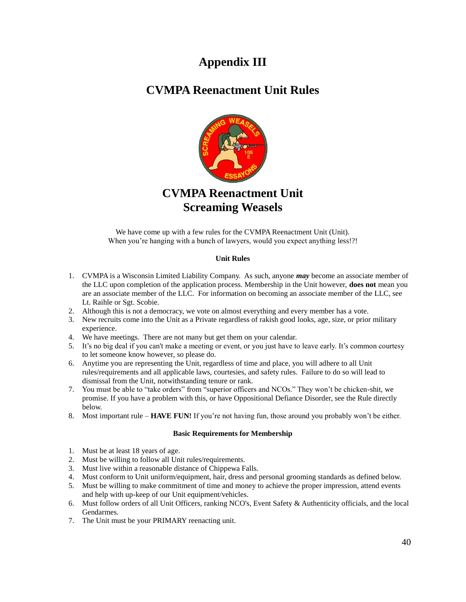## **Appendix III**

## **CVMPA Reenactment Unit Rules**



## **CVMPA Reenactment Unit Screaming Weasels**

We have come up with a few rules for the CVMPA Reenactment Unit (Unit). When you're hanging with a bunch of lawyers, would you expect anything less!?!

#### **Unit Rules**

- 1. CVMPA is a Wisconsin Limited Liability Company. As such, anyone *may* become an associate member of the LLC upon completion of the application process. Membership in the Unit however, **does not** mean you are an associate member of the LLC. For information on becoming an associate member of the LLC, see Lt. Raihle or Sgt. Scobie.
- 2. Although this is not a democracy, we vote on almost everything and every member has a vote.
- 3. New recruits come into the Unit as a Private regardless of rakish good looks, age, size, or prior military experience.
- 4. We have meetings. There are not many but get them on your calendar.
- 5. It's no big deal if you can't make a meeting or event, or you just have to leave early. It's common courtesy to let someone know however, so please do.
- 6. Anytime you are representing the Unit, regardless of time and place, you will adhere to all Unit rules/requirements and all applicable laws, courtesies, and safety rules. Failure to do so will lead to dismissal from the Unit, notwithstanding tenure or rank.
- 7. You must be able to "take orders" from "superior officers and NCOs." They won't be chicken-shit, we promise. If you have a problem with this, or have Oppositional Defiance Disorder, see the Rule directly below.
- 8. Most important rule **HAVE FUN!** If you're not having fun, those around you probably won't be either.

#### **Basic Requirements for Membership**

- 1. Must be at least 18 years of age.
- 2. Must be willing to follow all Unit rules/requirements.
- 3. Must live within a reasonable distance of Chippewa Falls.
- 4. Must conform to Unit uniform/equipment, hair, dress and personal grooming standards as defined below.
- 5. Must be willing to make commitment of time and money to achieve the proper impression, attend events and help with up-keep of our Unit equipment/vehicles.
- 6. Must follow orders of all Unit Officers, ranking NCO's, Event Safety & Authenticity officials, and the local Gendarmes.
- 7. The Unit must be your PRIMARY reenacting unit.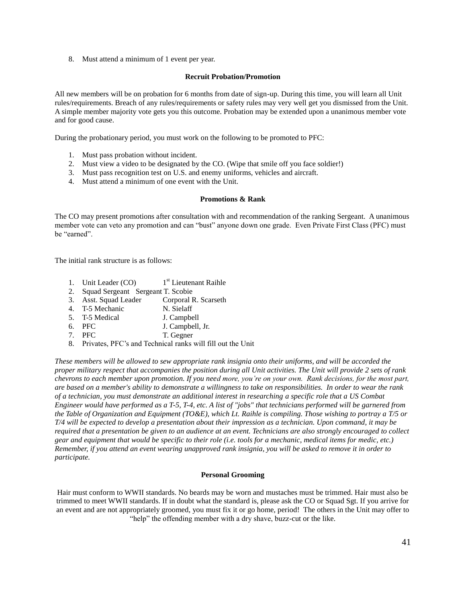8. Must attend a minimum of 1 event per year.

#### **Recruit Probation/Promotion**

All new members will be on probation for 6 months from date of sign-up. During this time, you will learn all Unit rules/requirements. Breach of any rules/requirements or safety rules may very well get you dismissed from the Unit. A simple member majority vote gets you this outcome. Probation may be extended upon a unanimous member vote and for good cause.

During the probationary period, you must work on the following to be promoted to PFC:

- 1. Must pass probation without incident.
- 2. Must view a video to be designated by the CO. (Wipe that smile off you face soldier!)
- 3. Must pass recognition test on U.S. and enemy uniforms, vehicles and aircraft.
- 4. Must attend a minimum of one event with the Unit.

#### **Promotions & Rank**

The CO may present promotions after consultation with and recommendation of the ranking Sergeant. A unanimous member vote can veto any promotion and can "bust" anyone down one grade. Even Private First Class (PFC) must be "earned".

The initial rank structure is as follows:

- 1. Unit Leader (CO) 1<sup>st</sup> Lieutenant Raihle
- 2. Squad Sergeant Sergeant T. Scobie
- 3. Asst. Squad Leader Corporal R. Scarseth
- 4. T-5 Mechanic N. Sielaff
- 5. T-5 Medical J. Campbell
- 6. PFC J. Campbell, Jr.
- 7. PFC T. Gegner
- 8. Privates, PFC's and Technical ranks will fill out the Unit

*These members will be allowed to sew appropriate rank insignia onto their uniforms, and will be accorded the proper military respect that accompanies the position during all Unit activities. The Unit will provide 2 sets of rank chevrons to each member upon promotion. If you need more, you're on your own. Rank decisions, for the most part, are based on a member's ability to demonstrate a willingness to take on responsibilities. In order to wear the rank of a technician, you must demonstrate an additional interest in researching a specific role that a US Combat Engineer would have performed as a T-5, T-4, etc. A list of "jobs" that technicians performed will be garnered from the Table of Organization and Equipment (TO&E), which Lt. Raihle is compiling. Those wishing to portray a T/5 or T/4 will be expected to develop a presentation about their impression as a technician. Upon command, it may be required that a presentation be given to an audience at an event. Technicians are also strongly encouraged to collect gear and equipment that would be specific to their role (i.e. tools for a mechanic, medical items for medic, etc.) Remember, if you attend an event wearing unapproved rank insignia, you will be asked to remove it in order to participate.*

#### **Personal Grooming**

Hair must conform to WWII standards. No beards may be worn and mustaches must be trimmed. Hair must also be trimmed to meet WWII standards. If in doubt what the standard is, please ask the CO or Squad Sgt. If you arrive for an event and are not appropriately groomed, you must fix it or go home, period! The others in the Unit may offer to "help" the offending member with a dry shave, buzz-cut or the like.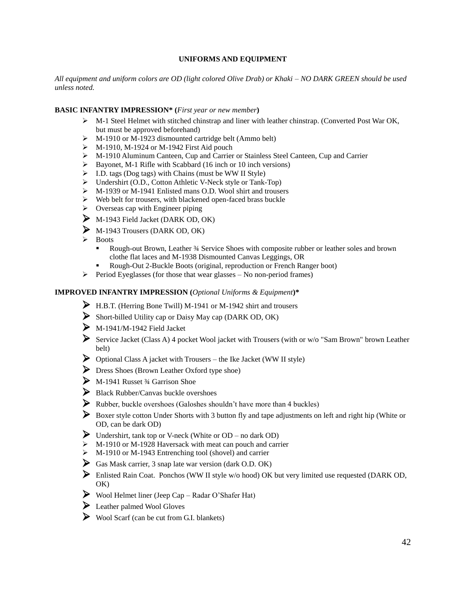#### **UNIFORMS AND EQUIPMENT**

*All equipment and uniform colors are OD (light colored Olive Drab) or Khaki – NO DARK GREEN should be used unless noted.*

#### **BASIC INFANTRY IMPRESSION\* (***First year or new member***)**

- M-1 Steel Helmet with stitched chinstrap and liner with leather chinstrap. (Converted Post War OK, but must be approved beforehand)
- M-1910 or M-1923 dismounted cartridge belt (Ammo belt)
- $\triangleright$  M-1910, M-1924 or M-1942 First Aid pouch
- M-1910 Aluminum Canteen, Cup and Carrier or Stainless Steel Canteen, Cup and Carrier
- $\triangleright$  Bayonet, M-1 Rifle with Scabbard (16 inch or 10 inch versions)
- $\triangleright$  I.D. tags (Dog tags) with Chains (must be WW II Style)
- Undershirt (O.D., Cotton Athletic V-Neck style or Tank-Top)
- M-1939 or M-1941 Enlisted mans O.D. Wool shirt and trousers
- $\triangleright$  Web belt for trousers, with blackened open-faced brass buckle
- $\triangleright$  Overseas cap with Engineer piping
- M-1943 Field Jacket (DARK OD, OK)
- M-1943 Trousers (DARK OD, OK)
- $\triangleright$  Boots
	- Rough-out Brown, Leather ¾ Service Shoes with composite rubber or leather soles and brown clothe flat laces and M-1938 Dismounted Canvas Leggings, OR
	- Rough-Out 2-Buckle Boots (original, reproduction or French Ranger boot)
- $\triangleright$  Period Eyeglasses (for those that wear glasses No non-period frames)

#### **IMPROVED INFANTRY IMPRESSION (***Optional Uniforms & Equipment***)\***

- H.B.T. (Herring Bone Twill) M-1941 or M-1942 shirt and trousers
- Short-billed Utility cap or Daisy May cap (DARK OD, OK)
- $\sum$  M-1941/M-1942 Field Jacket
- Service Jacket (Class A) 4 pocket Wool jacket with Trousers (with or w/o "Sam Brown" brown Leather belt)
- $\triangleright$  Optional Class A jacket with Trousers the Ike Jacket (WW II style)
- **Dress Shoes (Brown Leather Oxford type shoe)**
- $\triangleright$  M-1941 Russet 3/4 Garrison Shoe
- Black Rubber/Canvas buckle overshoes
- $\triangleright$  Rubber, buckle overshoes (Galoshes shouldn't have more than 4 buckles)
- Boxer style cotton Under Shorts with 3 button fly and tape adjustments on left and right hip (White or OD, can be dark OD)
- Undershirt, tank top or V-neck (White or OD no dark OD)
- $\triangleright$  M-1910 or M-1928 Haversack with meat can pouch and carrier
- $\triangleright$  M-1910 or M-1943 Entrenching tool (shovel) and carrier
- Gas Mask carrier, 3 snap late war version (dark O.D. OK)
- $\triangleright$  Enlisted Rain Coat. Ponchos (WW II style w/o hood) OK but very limited use requested (DARK OD, OK)
- $\triangleright$  Wool Helmet liner (Jeep Cap Radar O'Shafer Hat)
- Leather palmed Wool Gloves
- $\triangleright \text{ Wood Scarf (can be cut from G.I. blanks)}$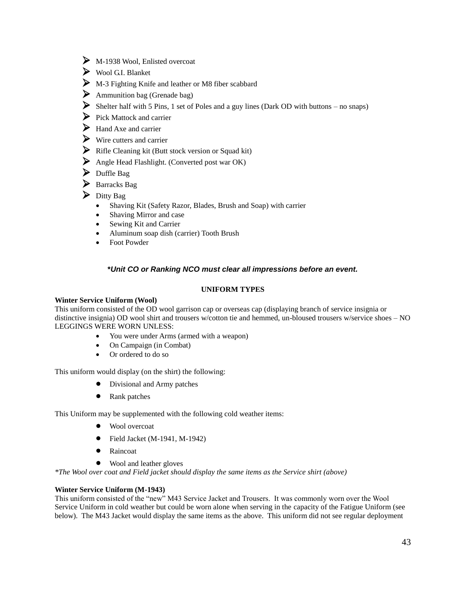- $\triangleright$  M-1938 Wool, Enlisted overcoat
- Wool G.I. Blanket
- M-3 Fighting Knife and leather or M8 fiber scabbard
- $\triangleright$  Ammunition bag (Grenade bag)
- Shelter half with 5 Pins, 1 set of Poles and a guy lines (Dark OD with buttons no snaps)
- $\triangleright$  Pick Mattock and carrier
- $\triangleright$  Hand Axe and carrier
- $\triangleright$  Wire cutters and carrier
- Rifle Cleaning kit (Butt stock version or Squad kit)
- Angle Head Flashlight. (Converted post war OK)
- $\triangleright$  Duffle Bag
- $\triangleright$  Barracks Bag
- $\triangleright$  Ditty Bag
	- Shaving Kit (Safety Razor, Blades, Brush and Soap) with carrier
	- Shaving Mirror and case
	- Sewing Kit and Carrier
	- Aluminum soap dish (carrier) Tooth Brush
	- Foot Powder

#### **\****Unit CO or Ranking NCO must clear all impressions before an event.*

#### **UNIFORM TYPES**

#### **Winter Service Uniform (Wool)**

This uniform consisted of the OD wool garrison cap or overseas cap (displaying branch of service insignia or distinctive insignia) OD wool shirt and trousers w/cotton tie and hemmed, un-bloused trousers w/service shoes – NO LEGGINGS WERE WORN UNLESS:

- You were under Arms (armed with a weapon)
- On Campaign (in Combat)
- Or ordered to do so

This uniform would display (on the shirt) the following:

- Divisional and Army patches
- Rank patches

This Uniform may be supplemented with the following cold weather items:

- Wool overcoat
- $\bullet$  Field Jacket (M-1941, M-1942)
- Raincoat
- Wool and leather gloves

*\*The Wool over coat and Field jacket should display the same items as the Service shirt (above)*

#### **Winter Service Uniform (M-1943)**

This uniform consisted of the "new" M43 Service Jacket and Trousers. It was commonly worn over the Wool Service Uniform in cold weather but could be worn alone when serving in the capacity of the Fatigue Uniform (see below). The M43 Jacket would display the same items as the above. This uniform did not see regular deployment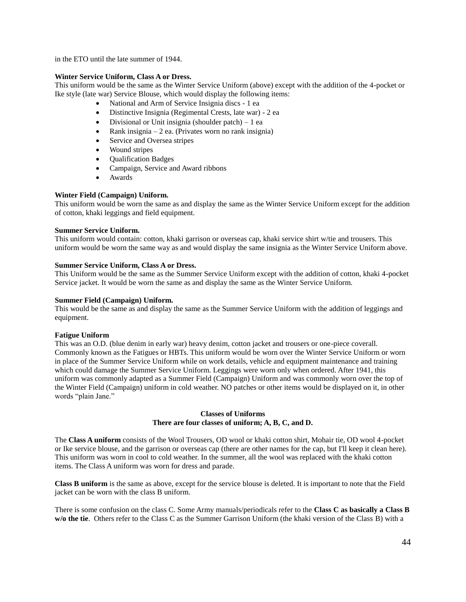in the ETO until the late summer of 1944.

#### **Winter Service Uniform, Class A or Dress.**

This uniform would be the same as the Winter Service Uniform (above) except with the addition of the 4-pocket or Ike style (late war) Service Blouse, which would display the following items:

- National and Arm of Service Insignia discs 1 ea
- Distinctive Insignia (Regimental Crests, late war) 2 ea
- Divisional or Unit insignia (shoulder patch) 1 ea
- Rank insignia 2 ea. (Privates worn no rank insignia)
- Service and Oversea stripes
- Wound stripes
- Qualification Badges
- Campaign, Service and Award ribbons
- Awards

#### **Winter Field (Campaign) Uniform.**

This uniform would be worn the same as and display the same as the Winter Service Uniform except for the addition of cotton, khaki leggings and field equipment.

#### **Summer Service Uniform.**

This uniform would contain: cotton, khaki garrison or overseas cap, khaki service shirt w/tie and trousers. This uniform would be worn the same way as and would display the same insignia as the Winter Service Uniform above.

#### **Summer Service Uniform, Class A or Dress.**

This Uniform would be the same as the Summer Service Uniform except with the addition of cotton, khaki 4-pocket Service jacket. It would be worn the same as and display the same as the Winter Service Uniform.

#### **Summer Field (Campaign) Uniform.**

This would be the same as and display the same as the Summer Service Uniform with the addition of leggings and equipment.

#### **Fatigue Uniform**

This was an O.D. (blue denim in early war) heavy denim, cotton jacket and trousers or one-piece coverall. Commonly known as the Fatigues or HBTs. This uniform would be worn over the Winter Service Uniform or worn in place of the Summer Service Uniform while on work details, vehicle and equipment maintenance and training which could damage the Summer Service Uniform. Leggings were worn only when ordered. After 1941, this uniform was commonly adapted as a Summer Field (Campaign) Uniform and was commonly worn over the top of the Winter Field (Campaign) uniform in cold weather. NO patches or other items would be displayed on it, in other words "plain Jane."

#### **Classes of Uniforms There are four classes of uniform; A, B, C, and D.**

The **Class A uniform** consists of the Wool Trousers, OD wool or khaki cotton shirt, Mohair tie, OD wool 4-pocket or Ike service blouse, and the garrison or overseas cap (there are other names for the cap, but I'll keep it clean here). This uniform was worn in cool to cold weather. In the summer, all the wool was replaced with the khaki cotton items. The Class A uniform was worn for dress and parade.

**Class B uniform** is the same as above, except for the service blouse is deleted. It is important to note that the Field jacket can be worn with the class B uniform.

There is some confusion on the class C. Some Army manuals/periodicals refer to the **Class C as basically a Class B w/o the tie**. Others refer to the Class C as the Summer Garrison Uniform (the khaki version of the Class B) with a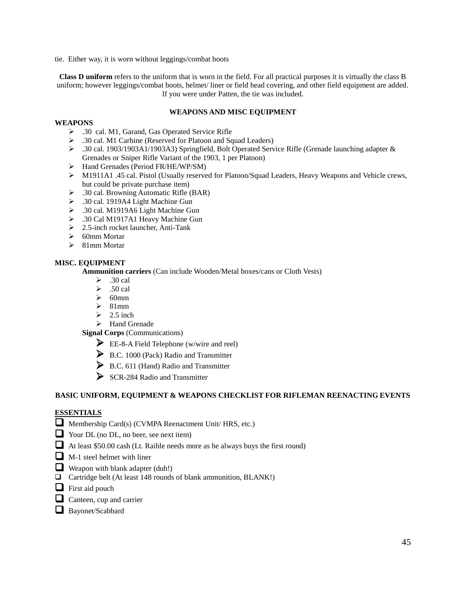tie. Either way, it is worn without leggings/combat boots

**Class D uniform** refers to the uniform that is worn in the field. For all practical purposes it is virtually the class B uniform; however leggings/combat boots, helmet/ liner or field head covering, and other field equipment are added. If you were under Patten, the tie was included.

#### **WEAPONS AND MISC EQUIPMENT**

#### **WEAPONS**

- .30 cal. M1, Garand, Gas Operated Service Rifle
- .30 cal. M1 Carbine (Reserved for Platoon and Squad Leaders)
- .30 cal. 1903/1903A1/1903A3) Springfield, Bolt Operated Service Rifle (Grenade launching adapter & Grenades or Sniper Rifle Variant of the 1903, 1 per Platoon)
- > Hand Grenades (Period FR/HE/WP/SM)
- M1911A1 .45 cal. Pistol (Usually reserved for Platoon/Squad Leaders, Heavy Weapons and Vehicle crews, but could be private purchase item)
- .30 cal. Browning Automatic Rifle (BAR)
- .30 cal. 1919A4 Light Machine Gun
- $\geq$  .30 cal. M1919A6 Light Machine Gun
- .30 Cal M1917A1 Heavy Machine Gun
- $\geq$  2.5-inch rocket launcher, Anti-Tank
- $\geqslant$  60mm Mortar
- $\geq$  81mm Mortar

#### **MISC. EQUIPMENT**

**Ammunition carriers** (Can include Wooden/Metal boxes/cans or Cloth Vests)

- $\geq$  .30 cal
- $\geq$  .50 cal
- $\geqslant$  60mm
- $\geqslant$  81mm
- $\geq$  2.5 inch
- $\triangleright$  Hand Grenade

**Signal Corps** (Communications)

- EE-8-A Field Telephone (w/wire and reel)
- B.C. 1000 (Pack) Radio and Transmitter
- $\triangleright$  B.C. 611 (Hand) Radio and Transmitter
- SCR-284 Radio and Transmitter

#### **BASIC UNIFORM, EQUIPMENT & WEAPONS CHECKLIST FOR RIFLEMAN REENACTING EVENTS**

#### **ESSENTIALS**

- Membership Card(s) (CVMPA Reenactment Unit/ HRS, etc.)
- Your DL (no DL, no beer, see next item)
- At least \$50.00 cash (Lt. Raihle needs more as he always buys the first round)
- $\Box$  M-1 steel helmet with liner
- Weapon with blank adapter  $(duh!)$
- Cartridge belt (At least 148 rounds of blank ammunition, BLANK!)
- $\Box$  First aid pouch
- $\Box$  Canteen, cup and carrier
- Bayonet/Scabbard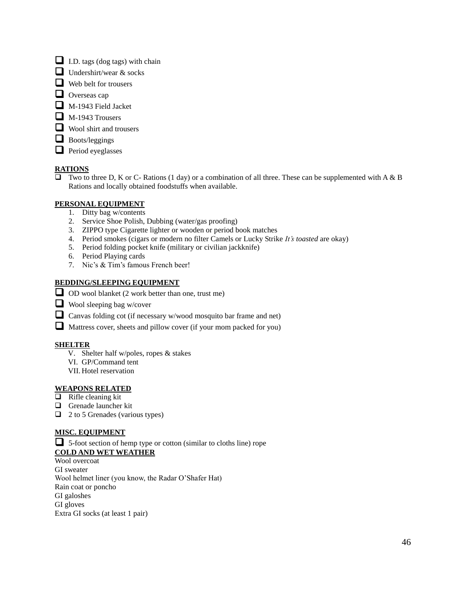- $\Box$  I.D. tags (dog tags) with chain
- $\Box$  Undershirt/wear & socks
- Web belt for trousers
- Overseas cap
- $\Box$  M-1943 Field Jacket
- $\Box$  M-1943 Trousers
- Wool shirt and trousers
- $\Box$  Boots/leggings
- $\Box$  Period eyeglasses

#### **RATIONS**

 $\overline{\Box}$  Two to three D, K or C- Rations (1 day) or a combination of all three. These can be supplemented with A & B Rations and locally obtained foodstuffs when available.

#### **PERSONAL EQUIPMENT**

- 1. Ditty bag w/contents
- 2. Service Shoe Polish, Dubbing (water/gas proofing)
- 3. ZIPPO type Cigarette lighter or wooden or period book matches
- 4. Period smokes (cigars or modern no filter Camels or Lucky Strike *It's toasted* are okay)
- 5. Period folding pocket knife (military or civilian jackknife)
- 6. Period Playing cards
- 7. Nic's & Tim's famous French beer!

#### **BEDDING/SLEEPING EQUIPMENT**

- OD wool blanket (2 work better than one, trust me)
- $\Box$  Wool sleeping bag w/cover
- Canvas folding cot (if necessary w/wood mosquito bar frame and net)
- Mattress cover, sheets and pillow cover (if your mom packed for you)

#### **SHELTER**

- V. Shelter half w/poles, ropes & stakes
- VI. GP/Command tent
- VII. Hotel reservation

#### **WEAPONS RELATED**

- $\overline{\Box}$  Rifle cleaning kit
- Grenade launcher kit
- $\Box$  2 to 5 Grenades (various types)

#### **MISC. EQUIPMENT**

 5-foot section of hemp type or cotton (similar to cloths line) rope **COLD AND WET WEATHER**

## Wool overcoat

GI sweater Wool helmet liner (you know, the Radar O'Shafer Hat) Rain coat or poncho GI galoshes GI gloves Extra GI socks (at least 1 pair)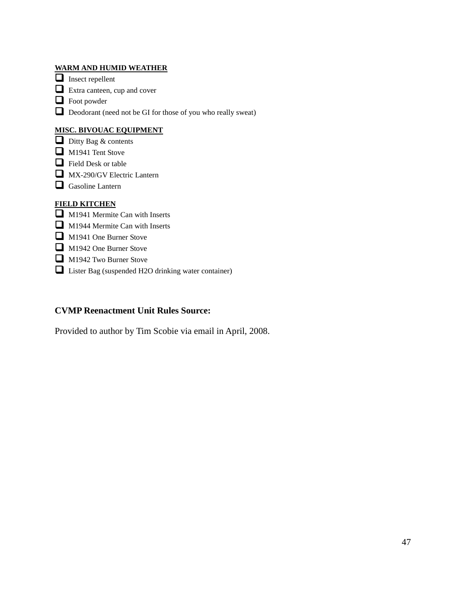#### **WARM AND HUMID WEATHER**

Insect repellent

 $\Box$  Extra canteen, cup and cover

**O** Foot powder

Deodorant (need not be GI for those of you who really sweat)

#### **MISC. BIVOUAC EQUIPMENT**

- $\overline{\Box}$  Ditty Bag & contents
- $\Box$  M1941 Tent Stove
- Field Desk or table
- MX-290/GV Electric Lantern
- Gasoline Lantern

#### **FIELD KITCHEN**

- M1941 Mermite Can with Inserts
- M1944 Mermite Can with Inserts
- M1941 One Burner Stove
- M1942 One Burner Stove
- M1942 Two Burner Stove
- Lister Bag (suspended H2O drinking water container)

#### **CVMP Reenactment Unit Rules Source:**

Provided to author by Tim Scobie via email in April, 2008.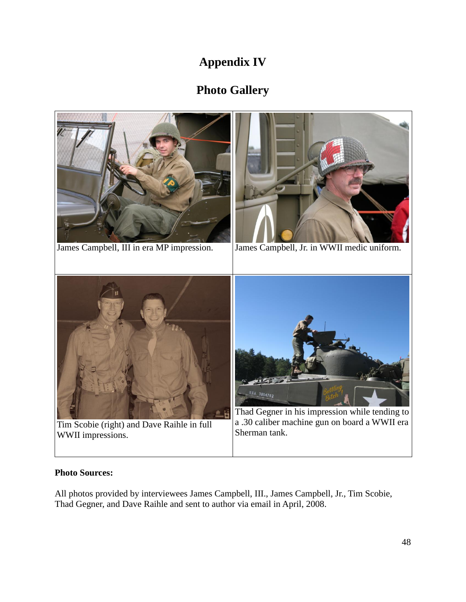# **Appendix IV**

# **Photo Gallery**



## **Photo Sources:**

All photos provided by interviewees James Campbell, III., James Campbell, Jr., Tim Scobie, Thad Gegner, and Dave Raihle and sent to author via email in April, 2008.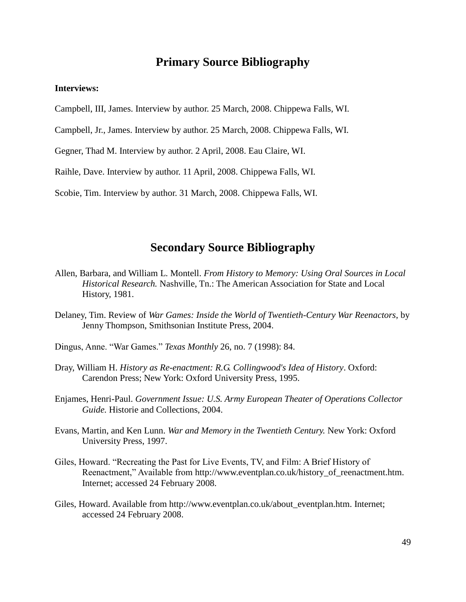## **Primary Source Bibliography**

#### **Interviews:**

Campbell, III, James. Interview by author. 25 March, 2008. Chippewa Falls, WI.

Campbell, Jr., James. Interview by author. 25 March, 2008. Chippewa Falls, WI.

Gegner, Thad M. Interview by author. 2 April, 2008. Eau Claire, WI.

Raihle, Dave. Interview by author. 11 April, 2008. Chippewa Falls, WI.

Scobie, Tim. Interview by author. 31 March, 2008. Chippewa Falls, WI.

## **Secondary Source Bibliography**

- Allen, Barbara, and William L. Montell. *From History to Memory: Using Oral Sources in Local Historical Research.* Nashville, Tn.: The American Association for State and Local History, 1981.
- Delaney, Tim. Review of *War Games: Inside the World of Twentieth-Century War Reenactors*, by Jenny Thompson, Smithsonian Institute Press, 2004.
- Dingus, Anne. "War Games." *Texas Monthly* 26, no. 7 (1998): 84.
- Dray, William H. *History as Re-enactment: R.G. Collingwood's Idea of History*. Oxford: Carendon Press; New York: Oxford University Press, 1995.
- Enjames, Henri-Paul. *Government Issue: U.S. Army European Theater of Operations Collector Guide.* Historie and Collections, 2004.
- Evans, Martin, and Ken Lunn. *War and Memory in the Twentieth Century.* New York: Oxford University Press, 1997.
- Giles, Howard. "Recreating the Past for Live Events, TV, and Film: A Brief History of Reenactment," Available from [http://www.eventplan.co.uk/history\\_of\\_reenactment.htm.](http://www.eventplan.co.uk/history_of_reenactment.htm) Internet; accessed 24 February 2008.
- Giles, Howard. Available from http://www.eventplan.co.uk/about\_eventplan.htm. Internet; accessed 24 February 2008.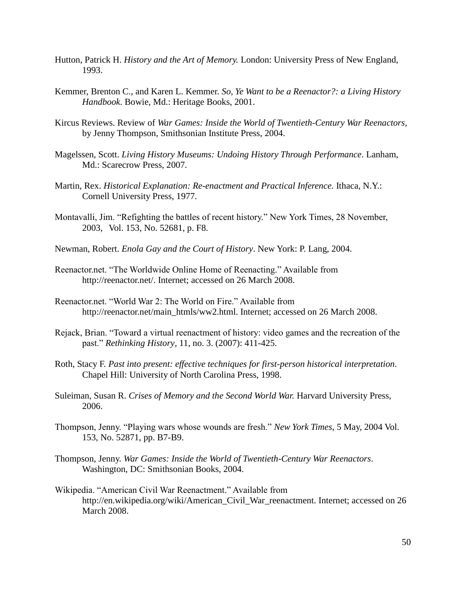- Hutton, Patrick H. *History and the Art of Memory.* London: University Press of New England, 1993.
- Kemmer, Brenton C., and Karen L. Kemmer. *So, Ye Want to be a Reenactor?: a Living History Handbook*. Bowie, Md.: Heritage Books, 2001.
- Kircus Reviews. Review of *War Games: Inside the World of Twentieth-Century War Reenactors*, by Jenny Thompson, Smithsonian Institute Press, 2004.
- Magelssen, Scott. *Living History Museums: Undoing History Through Performance*. Lanham, Md.: Scarecrow Press, 2007.
- Martin, Rex. *Historical Explanation: Re-enactment and Practical Inference.* Ithaca, N.Y.: Cornell University Press, 1977.
- Montavalli, Jim. "Refighting the battles of recent history." New York Times, 28 November, 2003, Vol. 153, No. 52681, p. F8.
- Newman, Robert. *Enola Gay and the Court of History*. New York: P. Lang, 2004.
- Reenactor.net. "The Worldwide Online Home of Reenacting." Available from http://reenactor.net/. Internet; accessed on 26 March 2008.
- Reenactor.net. "World War 2: The World on Fire." Available from http://reenactor.net/main\_htmls/ww2.html. Internet; accessed on 26 March 2008.
- Rejack, Brian. "Toward a virtual reenactment of history: video games and the recreation of the past." *Rethinking History*, 11, no. 3. (2007): 411-425.
- Roth, Stacy F. *Past into present: effective techniques for first-person historical interpretation*. Chapel Hill: University of North Carolina Press, 1998.
- Suleiman, Susan R. *Crises of Memory and the Second World War.* Harvard University Press, 2006.
- Thompson, Jenny. "Playing wars whose wounds are fresh." *New York Times*, 5 May, 2004 Vol. 153, No. 52871, pp. B7-B9.
- Thompson, Jenny. *War Games: Inside the World of Twentieth-Century War Reenactors*. Washington, DC: Smithsonian Books, 2004.
- Wikipedia. "American Civil War Reenactment." Available from http://en.wikipedia.org/wiki/American\_Civil\_War\_reenactment. Internet; accessed on 26 March 2008.